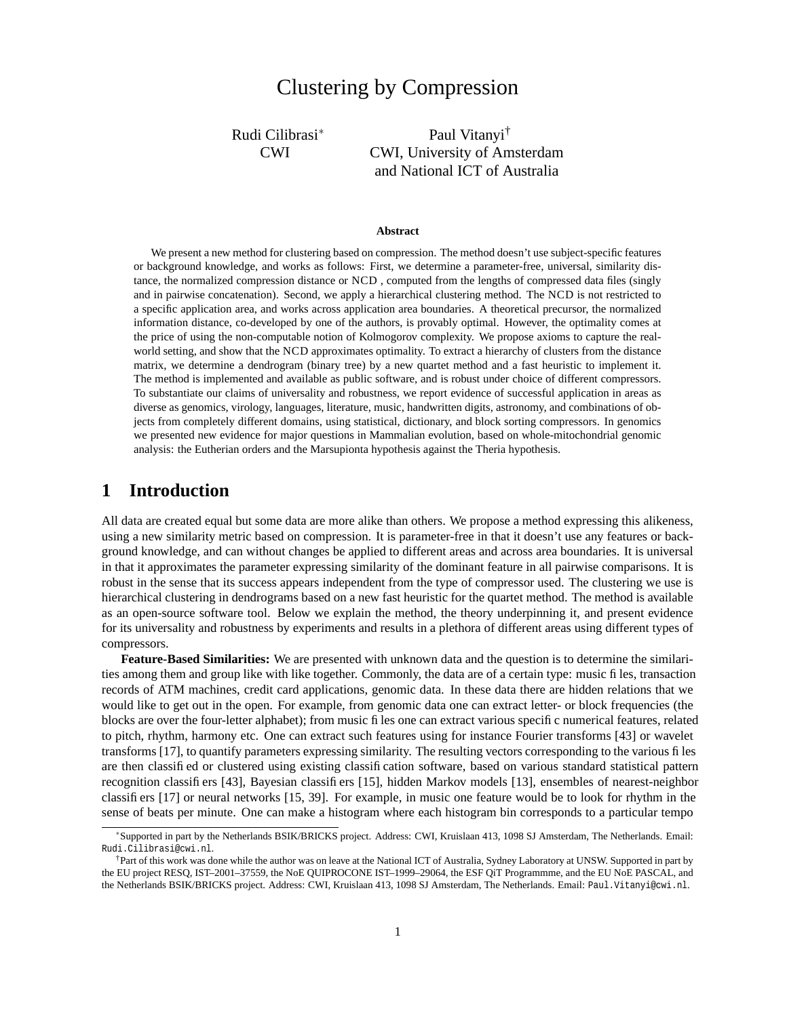# Clustering by Compression

Rudi Cilibrasi<sup>∗</sup> CWI

Paul Vitanyi† CWI, University of Amsterdam and National ICT of Australia

#### **Abstract**

We present a new method for clustering based on compression. The method doesn't use subject-specific features or background knowledge, and works as follows: First, we determine a parameter-free, universal, similarity distance, the normalized compression distance or NCD , computed from the lengths of compressed data files (singly and in pairwise concatenation). Second, we apply a hierarchical clustering method. The NCD is not restricted to a specific application area, and works across application area boundaries. A theoretical precursor, the normalized information distance, co-developed by one of the authors, is provably optimal. However, the optimality comes at the price of using the non-computable notion of Kolmogorov complexity. We propose axioms to capture the realworld setting, and show that the NCD approximates optimality. To extract a hierarchy of clusters from the distance matrix, we determine a dendrogram (binary tree) by a new quartet method and a fast heuristic to implement it. The method is implemented and available as public software, and is robust under choice of different compressors. To substantiate our claims of universality and robustness, we report evidence of successful application in areas as diverse as genomics, virology, languages, literature, music, handwritten digits, astronomy, and combinations of objects from completely different domains, using statistical, dictionary, and block sorting compressors. In genomics we presented new evidence for major questions in Mammalian evolution, based on whole-mitochondrial genomic analysis: the Eutherian orders and the Marsupionta hypothesis against the Theria hypothesis.

# **1 Introduction**

All data are created equal but some data are more alike than others. We propose a method expressing this alikeness, using a new similarity metric based on compression. It is parameter-free in that it doesn't use any features or background knowledge, and can without changes be applied to different areas and across area boundaries. It is universal in that it approximates the parameter expressing similarity of the dominant feature in all pairwise comparisons. It is robust in the sense that its success appears independent from the type of compressor used. The clustering we use is hierarchical clustering in dendrograms based on a new fast heuristic for the quartet method. The method is available as an open-source software tool. Below we explain the method, the theory underpinning it, and present evidence for its universality and robustness by experiments and results in a plethora of different areas using different types of compressors.

**Feature-Based Similarities:** We are presented with unknown data and the question is to determine the similarities among them and group like with like together. Commonly, the data are of a certain type: music files, transaction records of ATM machines, credit card applications, genomic data. In these data there are hidden relations that we would like to get out in the open. For example, from genomic data one can extract letter- or block frequencies (the blocks are over the four-letter alphabet); from music files one can extract various specific numerical features, related to pitch, rhythm, harmony etc. One can extract such features using for instance Fourier transforms [43] or wavelet transforms [17], to quantify parameters expressing similarity. The resulting vectors corresponding to the various files are then classified or clustered using existing classification software, based on various standard statistical pattern recognition classifiers [43], Bayesian classifiers [15], hidden Markov models [13], ensembles of nearest-neighbor classifiers [17] or neural networks [15, 39]. For example, in music one feature would be to look for rhythm in the sense of beats per minute. One can make a histogram where each histogram bin corresponds to a particular tempo

<sup>∗</sup>Supported in part by the Netherlands BSIK/BRICKS project. Address: CWI, Kruislaan 413, 1098 SJ Amsterdam, The Netherlands. Email: Rudi.Cilibrasi@cwi.nl.

<sup>†</sup>Part of this work was done while the author was on leave at the National ICT of Australia, Sydney Laboratory at UNSW. Supported in part by the EU project RESQ, IST–2001–37559, the NoE QUIPROCONE IST–1999–29064, the ESF QiT Programmme, and the EU NoE PASCAL, and the Netherlands BSIK/BRICKS project. Address: CWI, Kruislaan 413, 1098 SJ Amsterdam, The Netherlands. Email: Paul.Vitanyi@cwi.nl.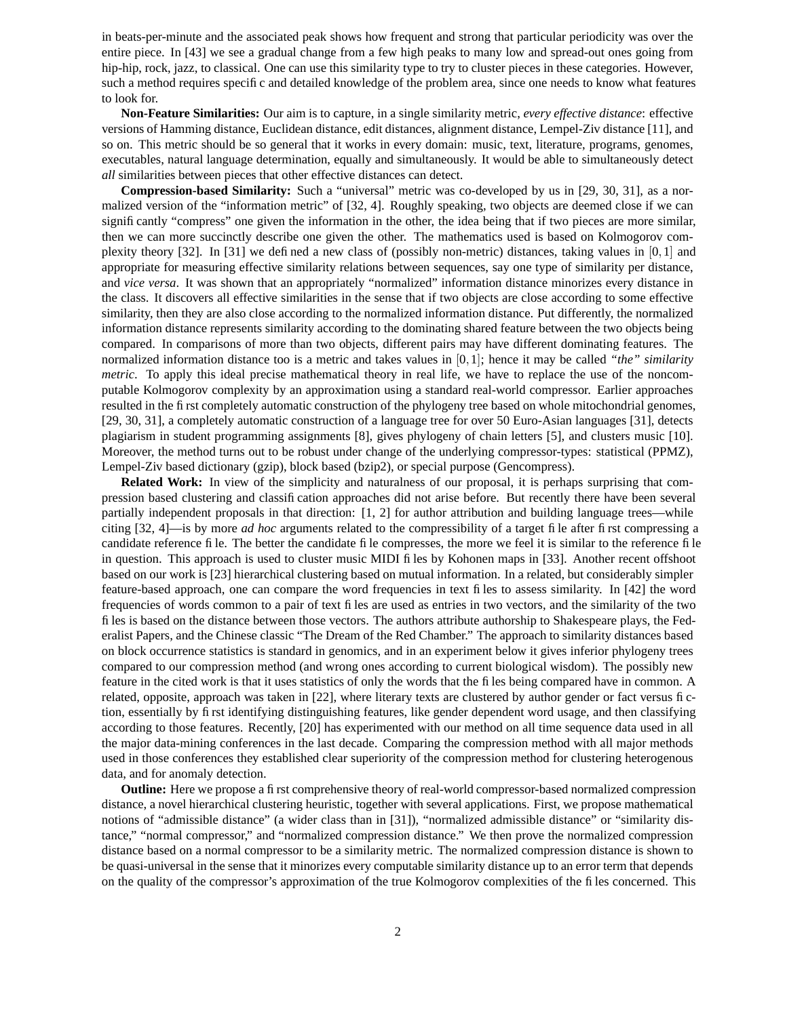in beats-per-minute and the associated peak shows how frequent and strong that particular periodicity was over the entire piece. In [43] we see a gradual change from a few high peaks to many low and spread-out ones going from hip-hip, rock, jazz, to classical. One can use this similarity type to try to cluster pieces in these categories. However, such a method requires specific and detailed knowledge of the problem area, since one needs to know what features to look for.

**Non-Feature Similarities:** Our aim is to capture, in a single similarity metric, *every effective distance*: effective versions of Hamming distance, Euclidean distance, edit distances, alignment distance, Lempel-Ziv distance [11], and so on. This metric should be so general that it works in every domain: music, text, literature, programs, genomes, executables, natural language determination, equally and simultaneously. It would be able to simultaneously detect *all* similarities between pieces that other effective distances can detect.

**Compression-based Similarity:** Such a "universal" metric was co-developed by us in [29, 30, 31], as a normalized version of the "information metric" of [32, 4]. Roughly speaking, two objects are deemed close if we can significantly "compress" one given the information in the other, the idea being that if two pieces are more similar, then we can more succinctly describe one given the other. The mathematics used is based on Kolmogorov complexity theory [32]. In [31] we defined a new class of (possibly non-metric) distances, taking values in [0,1] and appropriate for measuring effective similarity relations between sequences, say one type of similarity per distance, and *vice versa*. It was shown that an appropriately "normalized" information distance minorizes every distance in the class. It discovers all effective similarities in the sense that if two objects are close according to some effective similarity, then they are also close according to the normalized information distance. Put differently, the normalized information distance represents similarity according to the dominating shared feature between the two objects being compared. In comparisons of more than two objects, different pairs may have different dominating features. The normalized information distance too is a metric and takes values in [0,1]; hence it may be called *"the" similarity metric*. To apply this ideal precise mathematical theory in real life, we have to replace the use of the noncomputable Kolmogorov complexity by an approximation using a standard real-world compressor. Earlier approaches resulted in the first completely automatic construction of the phylogeny tree based on whole mitochondrial genomes, [29, 30, 31], a completely automatic construction of a language tree for over 50 Euro-Asian languages [31], detects plagiarism in student programming assignments [8], gives phylogeny of chain letters [5], and clusters music [10]. Moreover, the method turns out to be robust under change of the underlying compressor-types: statistical (PPMZ), Lempel-Ziv based dictionary (gzip), block based (bzip2), or special purpose (Gencompress).

**Related Work:** In view of the simplicity and naturalness of our proposal, it is perhaps surprising that compression based clustering and classification approaches did not arise before. But recently there have been several partially independent proposals in that direction: [1, 2] for author attribution and building language trees—while citing [32, 4]—is by more *ad hoc* arguments related to the compressibility of a target file after first compressing a candidate reference file. The better the candidate file compresses, the more we feel it is similar to the reference file in question. This approach is used to cluster music MIDI files by Kohonen maps in [33]. Another recent offshoot based on our work is [23] hierarchical clustering based on mutual information. In a related, but considerably simpler feature-based approach, one can compare the word frequencies in text files to assess similarity. In [42] the word frequencies of words common to a pair of text files are used as entries in two vectors, and the similarity of the two files is based on the distance between those vectors. The authors attribute authorship to Shakespeare plays, the Federalist Papers, and the Chinese classic "The Dream of the Red Chamber." The approach to similarity distances based on block occurrence statistics is standard in genomics, and in an experiment below it gives inferior phylogeny trees compared to our compression method (and wrong ones according to current biological wisdom). The possibly new feature in the cited work is that it uses statistics of only the words that the files being compared have in common. A related, opposite, approach was taken in [22], where literary texts are clustered by author gender or fact versus fiction, essentially by first identifying distinguishing features, like gender dependent word usage, and then classifying according to those features. Recently, [20] has experimented with our method on all time sequence data used in all the major data-mining conferences in the last decade. Comparing the compression method with all major methods used in those conferences they established clear superiority of the compression method for clustering heterogenous data, and for anomaly detection.

**Outline:** Here we propose a first comprehensive theory of real-world compressor-based normalized compression distance, a novel hierarchical clustering heuristic, together with several applications. First, we propose mathematical notions of "admissible distance" (a wider class than in [31]), "normalized admissible distance" or "similarity distance," "normal compressor," and "normalized compression distance." We then prove the normalized compression distance based on a normal compressor to be a similarity metric. The normalized compression distance is shown to be quasi-universal in the sense that it minorizes every computable similarity distance up to an error term that depends on the quality of the compressor's approximation of the true Kolmogorov complexities of the files concerned. This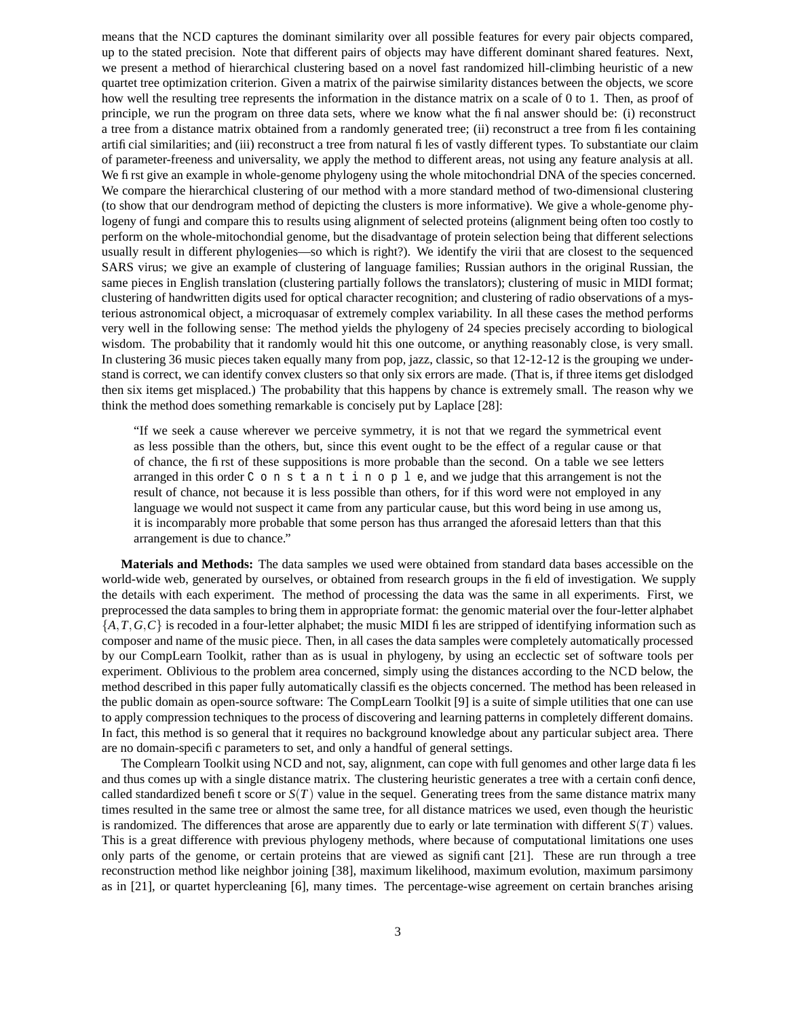means that the NCD captures the dominant similarity over all possible features for every pair objects compared, up to the stated precision. Note that different pairs of objects may have different dominant shared features. Next, we present a method of hierarchical clustering based on a novel fast randomized hill-climbing heuristic of a new quartet tree optimization criterion. Given a matrix of the pairwise similarity distances between the objects, we score how well the resulting tree represents the information in the distance matrix on a scale of 0 to 1. Then, as proof of principle, we run the program on three data sets, where we know what the final answer should be: (i) reconstruct a tree from a distance matrix obtained from a randomly generated tree; (ii) reconstruct a tree from files containing artificial similarities; and (iii) reconstruct a tree from natural files of vastly different types. To substantiate our claim of parameter-freeness and universality, we apply the method to different areas, not using any feature analysis at all. We first give an example in whole-genome phylogeny using the whole mitochondrial DNA of the species concerned. We compare the hierarchical clustering of our method with a more standard method of two-dimensional clustering (to show that our dendrogram method of depicting the clusters is more informative). We give a whole-genome phylogeny of fungi and compare this to results using alignment of selected proteins (alignment being often too costly to perform on the whole-mitochondial genome, but the disadvantage of protein selection being that different selections usually result in different phylogenies—so which is right?). We identify the virii that are closest to the sequenced SARS virus; we give an example of clustering of language families; Russian authors in the original Russian, the same pieces in English translation (clustering partially follows the translators); clustering of music in MIDI format; clustering of handwritten digits used for optical character recognition; and clustering of radio observations of a mysterious astronomical object, a microquasar of extremely complex variability. In all these cases the method performs very well in the following sense: The method yields the phylogeny of 24 species precisely according to biological wisdom. The probability that it randomly would hit this one outcome, or anything reasonably close, is very small. In clustering 36 music pieces taken equally many from pop, jazz, classic, so that 12-12-12 is the grouping we understand is correct, we can identify convex clusters so that only six errors are made. (That is, if three items get dislodged then six items get misplaced.) The probability that this happens by chance is extremely small. The reason why we think the method does something remarkable is concisely put by Laplace [28]:

"If we seek a cause wherever we perceive symmetry, it is not that we regard the symmetrical event as less possible than the others, but, since this event ought to be the effect of a regular cause or that of chance, the first of these suppositions is more probable than the second. On a table we see letters arranged in this order  $C \circ n$  s t a n t i n o p l e, and we judge that this arrangement is not the result of chance, not because it is less possible than others, for if this word were not employed in any language we would not suspect it came from any particular cause, but this word being in use among us, it is incomparably more probable that some person has thus arranged the aforesaid letters than that this arrangement is due to chance."

**Materials and Methods:** The data samples we used were obtained from standard data bases accessible on the world-wide web, generated by ourselves, or obtained from research groups in the field of investigation. We supply the details with each experiment. The method of processing the data was the same in all experiments. First, we preprocessed the data samples to bring them in appropriate format: the genomic material over the four-letter alphabet  $\{A, T, G, C\}$  is recoded in a four-letter alphabet; the music MIDI files are stripped of identifying information such as composer and name of the music piece. Then, in all cases the data samples were completely automatically processed by our CompLearn Toolkit, rather than as is usual in phylogeny, by using an ecclectic set of software tools per experiment. Oblivious to the problem area concerned, simply using the distances according to the NCD below, the method described in this paper fully automatically classifies the objects concerned. The method has been released in the public domain as open-source software: The CompLearn Toolkit [9] is a suite of simple utilities that one can use to apply compression techniques to the process of discovering and learning patterns in completely different domains. In fact, this method is so general that it requires no background knowledge about any particular subject area. There are no domain-specific parameters to set, and only a handful of general settings.

The Complearn Toolkit using NCD and not, say, alignment, can cope with full genomes and other large data files and thus comes up with a single distance matrix. The clustering heuristic generates a tree with a certain confidence, called standardized benefit score or  $S(T)$  value in the sequel. Generating trees from the same distance matrix many times resulted in the same tree or almost the same tree, for all distance matrices we used, even though the heuristic is randomized. The differences that arose are apparently due to early or late termination with different  $S(T)$  values. This is a great difference with previous phylogeny methods, where because of computational limitations one uses only parts of the genome, or certain proteins that are viewed as significant [21]. These are run through a tree reconstruction method like neighbor joining [38], maximum likelihood, maximum evolution, maximum parsimony as in [21], or quartet hypercleaning [6], many times. The percentage-wise agreement on certain branches arising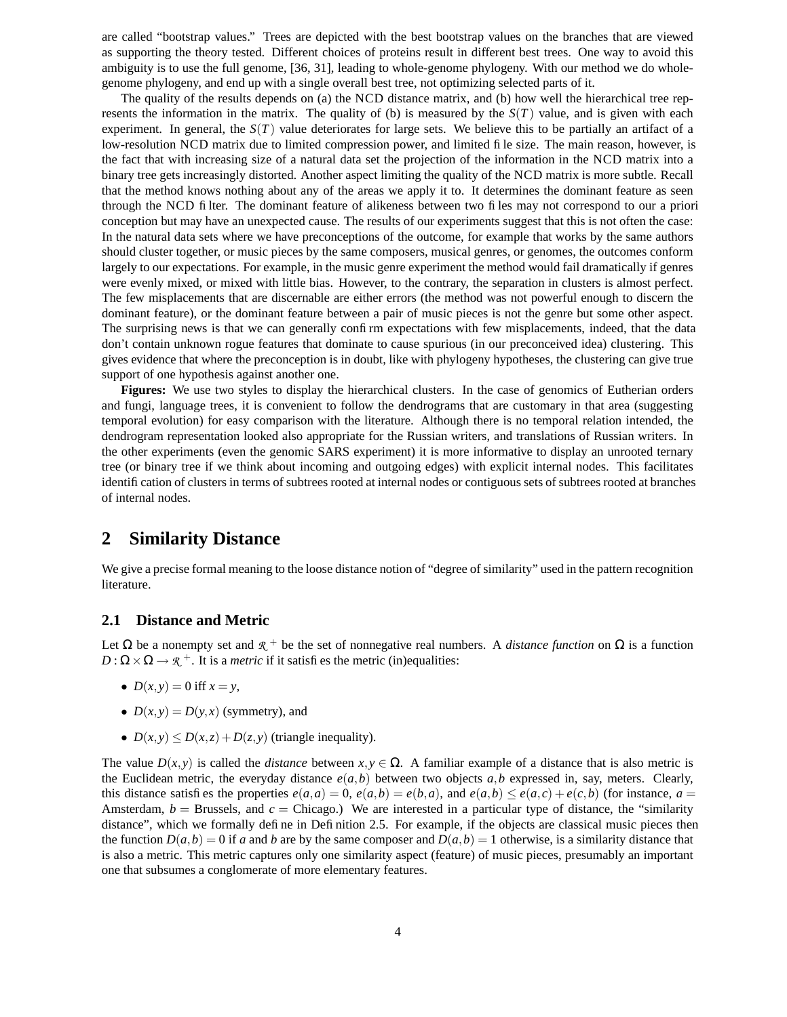are called "bootstrap values." Trees are depicted with the best bootstrap values on the branches that are viewed as supporting the theory tested. Different choices of proteins result in different best trees. One way to avoid this ambiguity is to use the full genome, [36, 31], leading to whole-genome phylogeny. With our method we do wholegenome phylogeny, and end up with a single overall best tree, not optimizing selected parts of it.

The quality of the results depends on (a) the NCD distance matrix, and (b) how well the hierarchical tree represents the information in the matrix. The quality of (b) is measured by the  $S(T)$  value, and is given with each experiment. In general, the  $S(T)$  value deteriorates for large sets. We believe this to be partially an artifact of a low-resolution NCD matrix due to limited compression power, and limited file size. The main reason, however, is the fact that with increasing size of a natural data set the projection of the information in the NCD matrix into a binary tree gets increasingly distorted. Another aspect limiting the quality of the NCD matrix is more subtle. Recall that the method knows nothing about any of the areas we apply it to. It determines the dominant feature as seen through the NCD filter. The dominant feature of alikeness between two files may not correspond to our a priori conception but may have an unexpected cause. The results of our experiments suggest that this is not often the case: In the natural data sets where we have preconceptions of the outcome, for example that works by the same authors should cluster together, or music pieces by the same composers, musical genres, or genomes, the outcomes conform largely to our expectations. For example, in the music genre experiment the method would fail dramatically if genres were evenly mixed, or mixed with little bias. However, to the contrary, the separation in clusters is almost perfect. The few misplacements that are discernable are either errors (the method was not powerful enough to discern the dominant feature), or the dominant feature between a pair of music pieces is not the genre but some other aspect. The surprising news is that we can generally confirm expectations with few misplacements, indeed, that the data don't contain unknown rogue features that dominate to cause spurious (in our preconceived idea) clustering. This gives evidence that where the preconception is in doubt, like with phylogeny hypotheses, the clustering can give true support of one hypothesis against another one.

**Figures:** We use two styles to display the hierarchical clusters. In the case of genomics of Eutherian orders and fungi, language trees, it is convenient to follow the dendrograms that are customary in that area (suggesting temporal evolution) for easy comparison with the literature. Although there is no temporal relation intended, the dendrogram representation looked also appropriate for the Russian writers, and translations of Russian writers. In the other experiments (even the genomic SARS experiment) it is more informative to display an unrooted ternary tree (or binary tree if we think about incoming and outgoing edges) with explicit internal nodes. This facilitates identification of clusters in terms of subtrees rooted at internal nodes or contiguous sets of subtrees rooted at branches of internal nodes.

# **2 Similarity Distance**

We give a precise formal meaning to the loose distance notion of "degree of similarity" used in the pattern recognition literature.

#### **2.1 Distance and Metric**

Let  $\Omega$  be a nonempty set and  $\mathcal{R}^+$  be the set of nonnegative real numbers. A *distance function* on  $\Omega$  is a function  $D: \Omega \times \Omega \rightarrow \mathcal{R}^+$ . It is a *metric* if it satisfies the metric (in)equalities:

- $D(x, y) = 0$  iff  $x = y$ ,
- $D(x, y) = D(y, x)$  (symmetry), and
- $D(x, y) \le D(x, z) + D(z, y)$  (triangle inequality).

The value  $D(x, y)$  is called the *distance* between  $x, y \in \Omega$ . A familiar example of a distance that is also metric is the Euclidean metric, the everyday distance  $e(a,b)$  between two objects  $a,b$  expressed in, say, meters. Clearly, this distance satisfies the properties  $e(a,a) = 0$ ,  $e(a,b) = e(b,a)$ , and  $e(a,b) \leq e(a,c) + e(c,b)$  (for instance,  $a =$ Amsterdam,  $b =$  Brussels, and  $c =$  Chicago.) We are interested in a particular type of distance, the "similarity distance", which we formally define in Definition 2.5. For example, if the objects are classical music pieces then the function  $D(a,b) = 0$  if *a* and *b* are by the same composer and  $D(a,b) = 1$  otherwise, is a similarity distance that is also a metric. This metric captures only one similarity aspect (feature) of music pieces, presumably an important one that subsumes a conglomerate of more elementary features.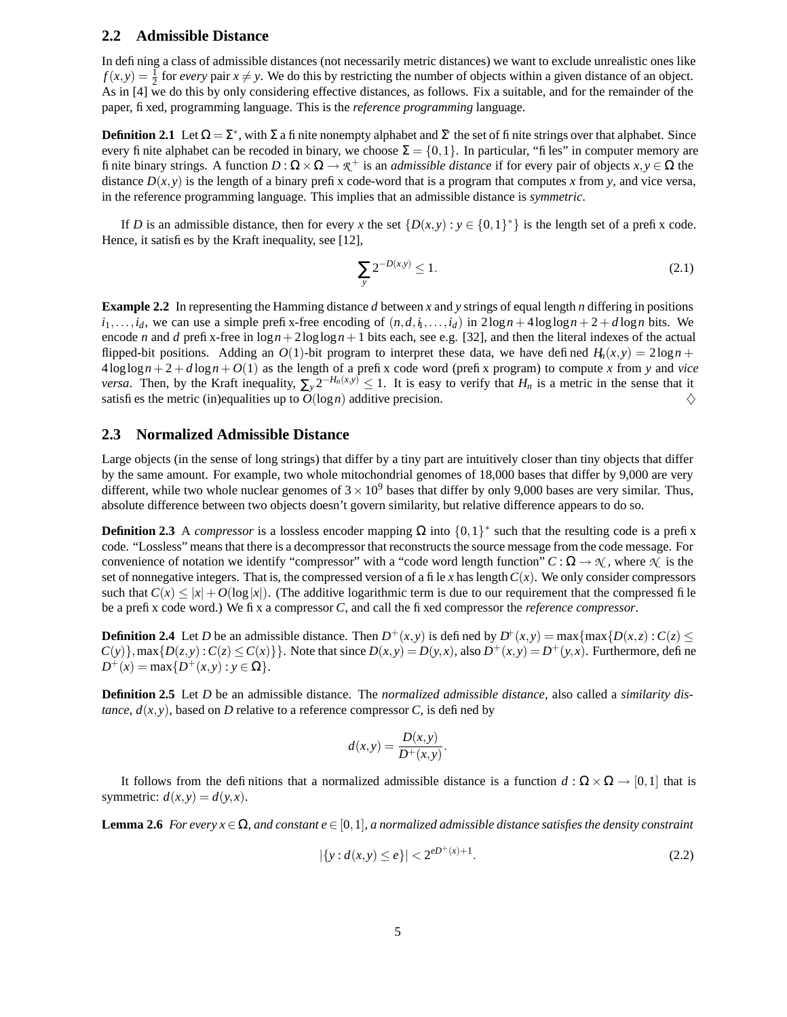#### **2.2 Admissible Distance**

In defining a class of admissible distances (not necessarily metric distances) we want to exclude unrealistic ones like  $f(x, y) = \frac{1}{2}$  for *every* pair  $x \neq y$ . We do this by restricting the number of objects within a given distance of an object. As in [4] we do this by only considering effective distances, as follows. Fix a suitable, and for the remainder of the paper, fixed, programming language. This is the *reference programming* language.

**Definition 2.1** Let  $\Omega = \Sigma^*$ , with  $\Sigma$  a finite nonempty alphabet and  $\Sigma^*$  the set of finite strings over that alphabet. Since every finite alphabet can be recoded in binary, we choose  $\Sigma = \{0,1\}$ . In particular, "files" in computer memory are finite binary strings. A function  $D: \Omega \times \Omega \to \mathbb{R}^+$  is an *admissible distance* if for every pair of objects  $x, y \in \Omega$  the distance  $D(x, y)$  is the length of a binary prefix code-word that is a program that computes x from y, and vice versa, in the reference programming language. This implies that an admissible distance is *symmetric*.

If *D* is an admissible distance, then for every *x* the set  $\{D(x, y) : y \in \{0, 1\}^*\}$  is the length set of a prefix code. Hence, it satisfies by the Kraft inequality, see [12],

$$
\sum_{y} 2^{-D(x,y)} \le 1. \tag{2.1}
$$

**Example 2.2** In representing the Hamming distance *d* between *x* and *y* strings of equal length *n* differing in positions  $i_1, \ldots, i_d$ , we can use a simple prefix-free encoding of  $(n, d, i_1, \ldots, i_d)$  in  $2\log n + 4\log \log n + 2 + d\log n$  bits. We encode *n* and *d* prefix-free in  $\log n + 2\log \log n + 1$  bits each, see e.g. [32], and then the literal indexes of the actual flipped-bit positions. Adding an  $O(1)$ -bit program to interpret these data, we have defined  $H_n(x, y) = 2\log n +$  $4\log\log n + 2 + d\log n + O(1)$  as the length of a prefix code word (prefix program) to compute x from y and vice *versa*. Then, by the Kraft inequality,  $\sum_{y} 2^{-H_n(x,y)} \leq 1$ . It is easy to verify that  $H_n$  is a metric in the sense that it satisfies the metric (in)equalities up to  $O(\log n)$  additive precision.

#### **2.3 Normalized Admissible Distance**

Large objects (in the sense of long strings) that differ by a tiny part are intuitively closer than tiny objects that differ by the same amount. For example, two whole mitochondrial genomes of 18,000 bases that differ by 9,000 are very different, while two whole nuclear genomes of  $3 \times 10^9$  bases that differ by only 9,000 bases are very similar. Thus, absolute difference between two objects doesn't govern similarity, but relative difference appears to do so.

**Definition 2.3** A *compressor* is a lossless encoder mapping  $\Omega$  into  $\{0,1\}^*$  such that the resulting code is a prefix code. "Lossless" means that there is a decompressor that reconstructs the source message from the code message. For convenience of notation we identify "compressor" with a "code word length function"  $C : \Omega \to \mathcal{N}$ , where  $\mathcal{N}$  is the set of nonnegative integers. That is, the compressed version of a file *x* has length  $C(x)$ . We only consider compressors such that  $C(x) \le |x| + O(\log|x|)$ . (The additive logarithmic term is due to our requirement that the compressed file be a prefix code word.) We fix a compressor *C*, and call the fixed compressor the *reference compressor*.

**Definition 2.4** Let *D* be an admissible distance. Then  $D^+(x,y)$  is defined by  $D^+(x,y) = \max\{\max\{D(x,z): C(z) \leq$  $C(y)$ , max $\{D(z, y): C(z) \le C(x)\}\}\.$  Note that since  $D(x, y) = D(y, x)$ , also  $D^+(x, y) = D^+(y, x)$ . Furthermore, define  $D^+(x) = \max\{D^+(x,y) : y \in \Omega\}.$ 

**Definition 2.5** Let *D* be an admissible distance. The *normalized admissible distance*, also called a *similarity distance*,  $d(x, y)$ , based on *D* relative to a reference compressor *C*, is defined by

$$
d(x,y) = \frac{D(x,y)}{D^+(x,y)}.
$$

It follows from the definitions that a normalized admissible distance is a function  $d : \Omega \times \Omega \to [0,1]$  that is symmetric:  $d(x, y) = d(y, x)$ .

**Lemma 2.6** For every  $x \in \Omega$ , and constant  $e \in [0,1]$ , a normalized admissible distance satisfies the density constraint

$$
|\{y: d(x, y) \le e\}| < 2^{e^{D^+(x)+1}}.\tag{2.2}
$$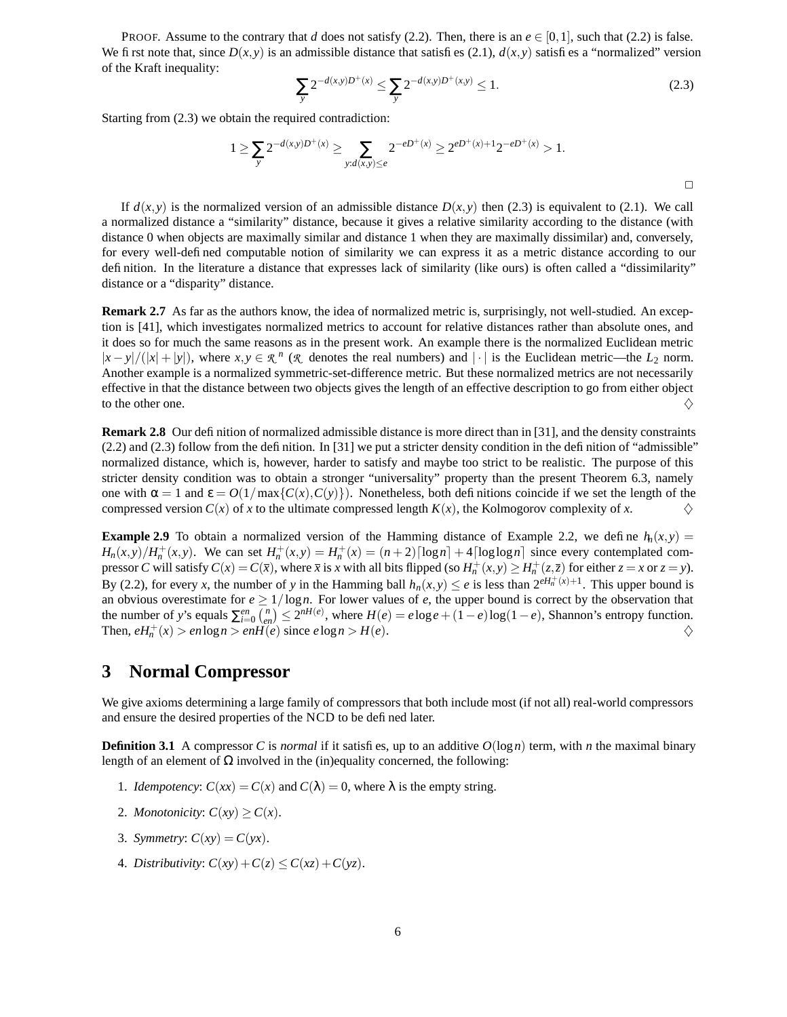PROOF. Assume to the contrary that *d* does not satisfy (2.2). Then, there is an  $e \in [0,1]$ , such that (2.2) is false. We first note that, since  $D(x, y)$  is an admissible distance that satisfies (2.1),  $d(x, y)$  satisfies a "normalized" version of the Kraft inequality:

$$
\sum_{y} 2^{-d(x,y)D^{+}(x)} \le \sum_{y} 2^{-d(x,y)D^{+}(x,y)} \le 1.
$$
\n(2.3)

Starting from (2.3) we obtain the required contradiction:

$$
1 \ge \sum_{y} 2^{-d(x,y)D^{+}(x)} \ge \sum_{y:d(x,y)\le e} 2^{-eD^{+}(x)} \ge 2^{eD^{+}(x)+1}2^{-eD^{+}(x)} > 1.
$$

If  $d(x, y)$  is the normalized version of an admissible distance  $D(x, y)$  then (2.3) is equivalent to (2.1). We call a normalized distance a "similarity" distance, because it gives a relative similarity according to the distance (with distance 0 when objects are maximally similar and distance 1 when they are maximally dissimilar) and, conversely, for every well-defined computable notion of similarity we can express it as a metric distance according to our definition. In the literature a distance that expresses lack of similarity (like ours) is often called a "dissimilarity" distance or a "disparity" distance.

**Remark 2.7** As far as the authors know, the idea of normalized metric is, surprisingly, not well-studied. An exception is [41], which investigates normalized metrics to account for relative distances rather than absolute ones, and it does so for much the same reasons as in the present work. An example there is the normalized Euclidean metric  $|x-y|/(|x|+|y|)$ , where  $x, y \in \mathbb{R}^n$  ( $\mathbb{R}$  denotes the real numbers) and  $|\cdot|$  is the Euclidean metric—the  $L_2$  norm. Another example is a normalized symmetric-set-difference metric. But these normalized metrics are not necessarily effective in that the distance between two objects gives the length of an effective description to go from either object to the other one.  $\Diamond$ 

**Remark 2.8** Our definition of normalized admissible distance is more direct than in [31], and the density constraints  $(2.2)$  and  $(2.3)$  follow from the definition. In [31] we put a stricter density condition in the definition of "admissible" normalized distance, which is, however, harder to satisfy and maybe too strict to be realistic. The purpose of this stricter density condition was to obtain a stronger "universality" property than the present Theorem 6.3, namely one with  $\alpha = 1$  and  $\varepsilon = O(1/\max\{C(x), C(y)\})$ . Nonetheless, both definitions coincide if we set the length of the compressed version  $C(x)$  of x to the ultimate compressed length  $K(x)$ , the Kolmogorov complexity of x.

**Example 2.9** To obtain a normalized version of the Hamming distance of Example 2.2, we define  $h_n(x, y) =$  $H_n(x,y)/H_n^+(x,y)$ . We can set  $H_n^+(x,y) = H_n^+(x) = (n+2)\lceil \log n \rceil + 4 \lceil \log \log n \rceil$  since every contemplated compressor C will satisfy  $C(x) = C(\overline{x})$ , where  $\overline{x}$  is x with all bits flipped (so  $H_n^+(x, y) \ge H_n^+(z, \overline{z})$  for either  $z = x$  or  $z = y$ ). By (2.2), for every *x*, the number of *y* in the Hamming ball  $h_n(x, y) \le e$  is less than  $2^{eH_n^+(x)+1}$ . This upper bound is an obvious overestimate for  $e \ge 1/\log n$ . For lower values of  $e$ , the upper bound is correct by the observation that the number of *y*'s equals  $\sum_{i=0}^{en} {n \choose en} \leq 2^{nH(e)}$ , where  $H(e) = e \log e + (1-e) \log(1-e)$ , Shannon's entropy function. Then,  $eH_n^+(x) > en \log n > enH(e)$  since  $e \log n > H(e)$ .

### **3 Normal Compressor**

We give axioms determining a large family of compressors that both include most (if not all) real-world compressors and ensure the desired properties of the NCD to be defined later.

**Definition** 3.1 A compressor *C* is *normal* if it satisfies, up to an additive  $O(\log n)$  term, with *n* the maximal binary length of an element of  $\Omega$  involved in the (in)equality concerned, the following:

- 1. *Idempotency*:  $C(xx) = C(x)$  and  $C(\lambda) = 0$ , where  $\lambda$  is the empty string.
- 2. *Monotonicity*:  $C(xy) \ge C(x)$ .
- 3. *Symmetry:*  $C(xy) = C(yx)$ .
- 4. *Distributivity*:  $C(xy) + C(z) \leq C(xz) + C(yz)$ .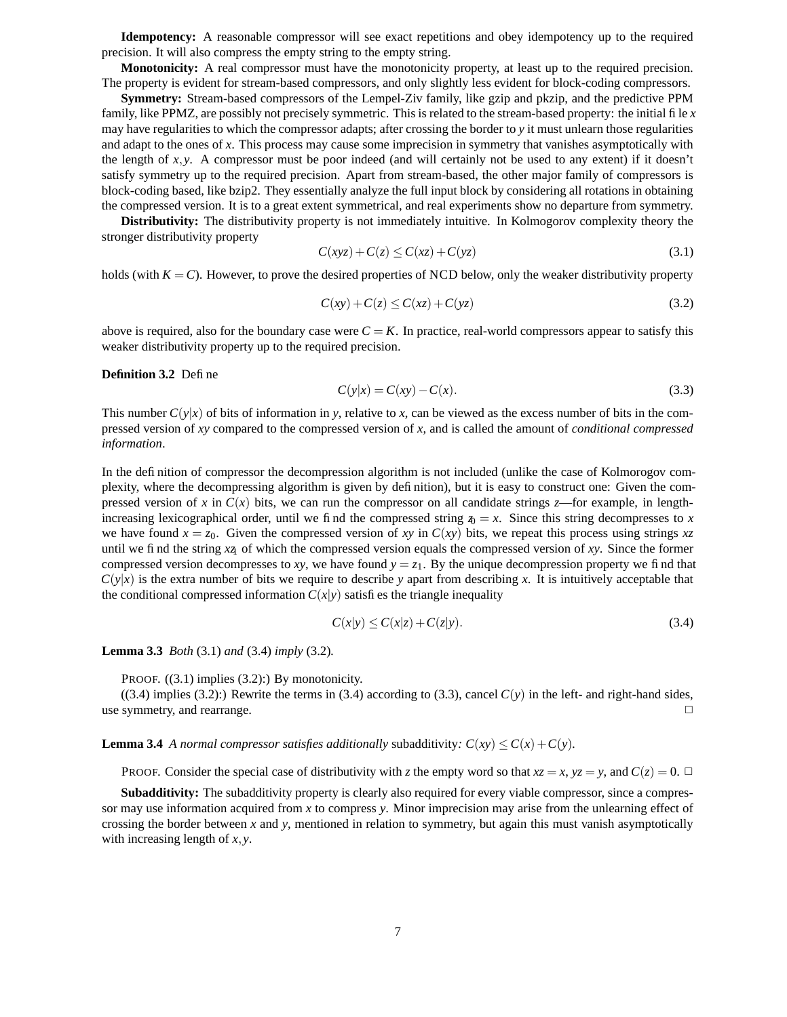**Idempotency:** A reasonable compressor will see exact repetitions and obey idempotency up to the required precision. It will also compress the empty string to the empty string.

**Monotonicity:** A real compressor must have the monotonicity property, at least up to the required precision. The property is evident for stream-based compressors, and only slightly less evident for block-coding compressors.

**Symmetry:** Stream-based compressors of the Lempel-Ziv family, like gzip and pkzip, and the predictive PPM family, like PPMZ, are possibly not precisely symmetric. This is related to the stream-based property: the initial file *x* may have regularities to which the compressor adapts; after crossing the border to *y* it must unlearn those regularities and adapt to the ones of *x*. This process may cause some imprecision in symmetry that vanishes asymptotically with the length of *x*, *y*. A compressor must be poor indeed (and will certainly not be used to any extent) if it doesn't satisfy symmetry up to the required precision. Apart from stream-based, the other major family of compressors is block-coding based, like bzip2. They essentially analyze the full input block by considering all rotations in obtaining the compressed version. It is to a great extent symmetrical, and real experiments show no departure from symmetry.

**Distributivity:** The distributivity property is not immediately intuitive. In Kolmogorov complexity theory the stronger distributivity property

$$
C(xyz) + C(z) \le C(xz) + C(yz)
$$
\n
$$
(3.1)
$$

holds (with  $K = C$ ). However, to prove the desired properties of NCD below, only the weaker distributivity property

$$
C(xy) + C(z) \le C(xz) + C(yz)
$$
\n
$$
(3.2)
$$

above is required, also for the boundary case were  $C = K$ . In practice, real-world compressors appear to satisfy this weaker distributivity property up to the required precision.

#### **Definition 3.2** Define

$$
C(y|x) = C(xy) - C(x). \tag{3.3}
$$

This number  $C(y|x)$  of bits of information in y, relative to x, can be viewed as the excess number of bits in the compressed version of *xy* compared to the compressed version of *x*, and is called the amount of *conditional compressed information*.

In the definition of compressor the decompression algorithm is not included (unlike the case of Kolmorogov complexity, where the decompressing algorithm is given by definition), but it is easy to construct one: Given the compressed version of x in  $C(x)$  bits, we can run the compressor on all candidate strings  $z$ —for example, in lengthincreasing lexicographical order, until we find the compressed string  $\bar{z}_0 = x$ . Since this string decompresses to *x* we have found  $x = z_0$ . Given the compressed version of *xy* in  $C(xy)$  bits, we repeat this process using strings *xz* until we find the string *xz*<sup>1</sup> of which the compressed version equals the compressed version of *xy*. Since the former compressed version decompresses to *xy*, we have found  $y = z<sub>1</sub>$ . By the unique decompression property we find that  $C(y|x)$  is the extra number of bits we require to describe *y* apart from describing *x*. It is intuitively acceptable that the conditional compressed information  $C(x|y)$  satisfies the triangle inequality

$$
C(x|y) \le C(x|z) + C(z|y). \tag{3.4}
$$

**Lemma 3.3** *Both* (3.1) *and* (3.4) *imply* (3.2)*.*

PROOF.  $((3.1)$  implies  $(3.2)$ :) By monotonicity.

 $((3.4)$  implies  $(3.2)$ :) Rewrite the terms in  $(3.4)$  according to  $(3.3)$ , cancel  $C(y)$  in the left- and right-hand sides, use symmetry, and rearrange.  $\Box$ 

#### **Lemma 3.4** *A normal compressor satisfies additionally* subadditivity:  $C(xy) \le C(x) + C(y)$ .

PROOF. Consider the special case of distributivity with *z* the empty word so that  $xz = x$ ,  $yz = y$ , and  $C(z) = 0$ .  $\Box$ 

**Subadditivity:** The subadditivity property is clearly also required for every viable compressor, since a compressor may use information acquired from *x* to compress *y*. Minor imprecision may arise from the unlearning effect of crossing the border between *x* and *y*, mentioned in relation to symmetry, but again this must vanish asymptotically with increasing length of *x*, *y*.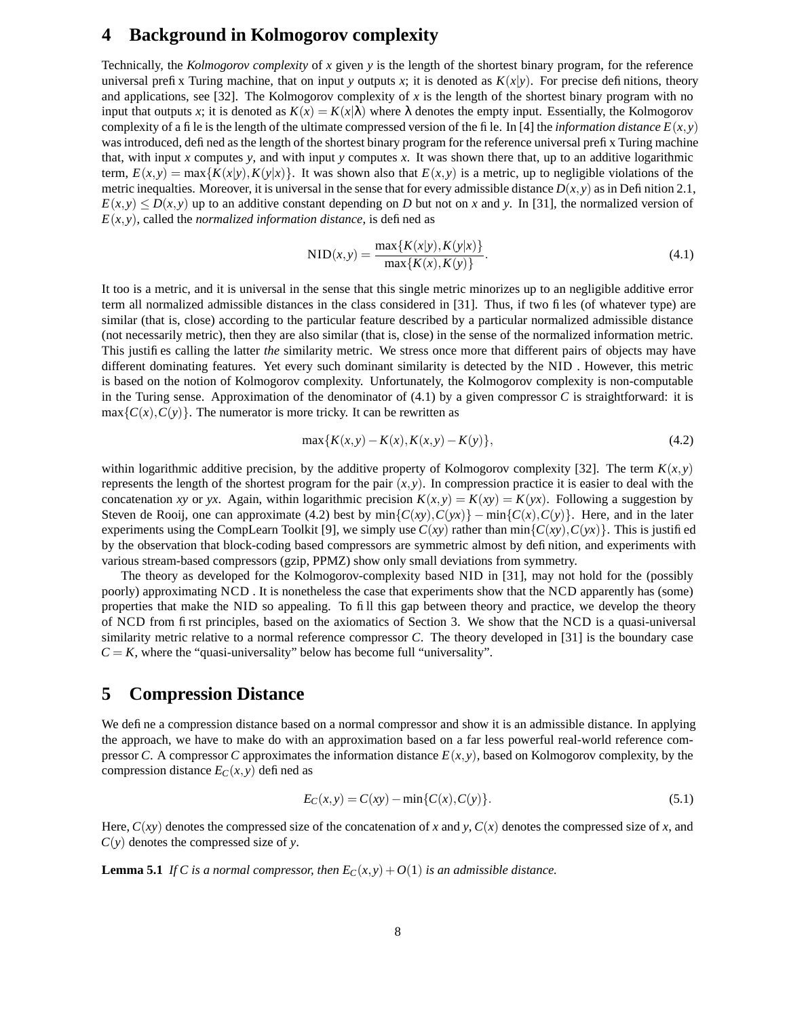### **4 Background in Kolmogorov complexity**

Technically, the *Kolmogorov complexity* of *x* given *y* is the length of the shortest binary program, for the reference universal prefix Turing machine, that on input *y* outputs x; it is denoted as  $K(x|y)$ . For precise definitions, theory and applications, see [32]. The Kolmogorov complexity of *x* is the length of the shortest binary program with no input that outputs *x*; it is denoted as  $K(x) = K(x|\lambda)$  where  $\lambda$  denotes the empty input. Essentially, the Kolmogorov complexity of a file is the length of the ultimate compressed version of the file. In [4] the *information* distance  $E(x, y)$ was introduced, defined as the length of the shortest binary program for the reference universal prefix Turing machine that, with input *x* computes *y*, and with input *y* computes *x*. It was shown there that, up to an additive logarithmic term,  $E(x, y) = \max\{K(x|y), K(y|x)\}\$ . It was shown also that  $E(x, y)$  is a metric, up to negligible violations of the metric inequalties. Moreover, it is universal in the sense that for every admissible distance  $D(x, y)$  as in Definition 2.1,  $E(x, y) \leq D(x, y)$  up to an additive constant depending on *D* but not on *x* and *y*. In [31], the normalized version of  $E(x, y)$ , called the *normalized information distance*, is defined as

NID(x,y) = 
$$
\frac{\max\{K(x|y), K(y|x)\}}{\max\{K(x), K(y)\}}.
$$
 (4.1)

It too is a metric, and it is universal in the sense that this single metric minorizes up to an negligible additive error term all normalized admissible distances in the class considered in [31]. Thus, if two files (of whatever type) are similar (that is, close) according to the particular feature described by a particular normalized admissible distance (not necessarily metric), then they are also similar (that is, close) in the sense of the normalized information metric. This justifies calling the latter *the* similarity metric. We stress once more that different pairs of objects may have different dominating features. Yet every such dominant similarity is detected by the NID . However, this metric is based on the notion of Kolmogorov complexity. Unfortunately, the Kolmogorov complexity is non-computable in the Turing sense. Approximation of the denominator of  $(4.1)$  by a given compressor *C* is straightforward: it is  $max{C(x), C(y)}$ . The numerator is more tricky. It can be rewritten as

$$
\max\{K(x, y) - K(x), K(x, y) - K(y)\},\tag{4.2}
$$

within logarithmic additive precision, by the additive property of Kolmogorov complexity [32]. The term  $K(x, y)$ represents the length of the shortest program for the pair  $(x, y)$ . In compression practice it is easier to deal with the concatenation *xy* or *yx*. Again, within logarithmic precision  $K(x, y) = K(xy) = K(yx)$ . Following a suggestion by Steven de Rooij, one can approximate (4.2) best by  $\min\{C(xy), C(yx)\} - \min\{C(x), C(y)\}$ . Here, and in the later experiments using the CompLearn Toolkit [9], we simply use  $C(xy)$  rather than  $min{C(xy), C(yx)}$ . This is justified by the observation that block-coding based compressors are symmetric almost by definition, and experiments with various stream-based compressors (gzip, PPMZ) show only small deviations from symmetry.

The theory as developed for the Kolmogorov-complexity based NID in [31], may not hold for the (possibly poorly) approximating NCD . It is nonetheless the case that experiments show that the NCD apparently has (some) properties that make the NID so appealing. To fill this gap between theory and practice, we develop the theory of NCD from first principles, based on the axiomatics of Section 3. We show that the NCD is a quasi-universal similarity metric relative to a normal reference compressor *C*. The theory developed in [31] is the boundary case  $C = K$ , where the "quasi-universality" below has become full "universality".

### **5 Compression Distance**

We define a compression distance based on a normal compressor and show it is an admissible distance. In applying the approach, we have to make do with an approximation based on a far less powerful real-world reference compressor *C*. A compressor *C* approximates the information distance  $E(x, y)$ , based on Kolmogorov complexity, by the compression distance  $E_C(x, y)$  defined as

$$
E_C(x, y) = C(xy) - \min\{C(x), C(y)\}.
$$
\n(5.1)

Here,  $C(xy)$  denotes the compressed size of the concatenation of *x* and *y*,  $C(x)$  denotes the compressed size of *x*, and *C*(*y*) denotes the compressed size of *y*.

**Lemma 5.1** *If C is a normal compressor, then*  $E_C(x, y) + O(1)$  *is an admissible distance.*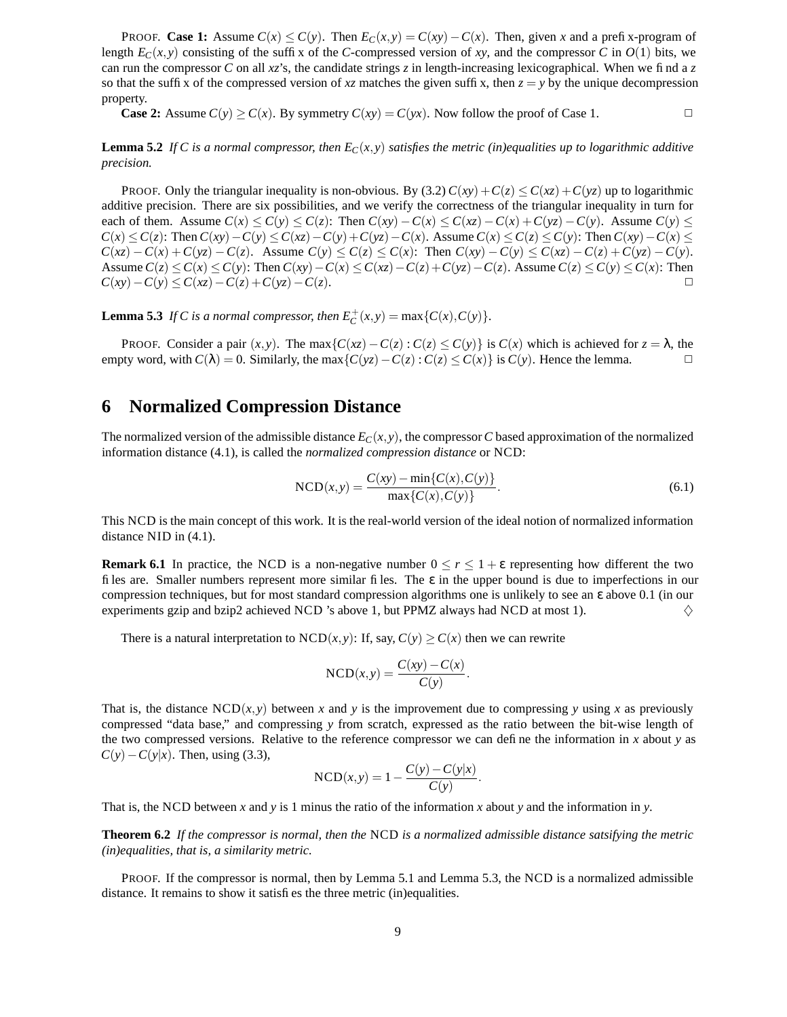**PROOF.** Case 1: Assume  $C(x) \leq C(y)$ . Then  $E_C(x, y) = C(xy) - C(x)$ . Then, given x and a prefix-program of length  $E_C(x, y)$  consisting of the suffix of the *C*-compressed version of xy, and the compressor *C* in  $O(1)$  bits, we can run the compressor *C* on all *xz*'s, the candidate strings *z* in length-increasing lexicographical. When we find a *z* so that the suffix of the compressed version of  $xz$  matches the given suffix, then  $z = y$  by the unique decompression property.

**Case 2:** Assume  $C(y) \geq C(x)$ . By symmetry  $C(xy) = C(yx)$ . Now follow the proof of Case 1.

**Lemma 5.2** If C is a normal compressor, then  $E_C(x, y)$  satisfies the metric (in)equalities up to logarithmic additive *precision.*

PROOF. Only the triangular inequality is non-obvious. By  $(3.2) C(xy) + C(z) \leq C(xz) + C(yz)$  up to logarithmic additive precision. There are six possibilities, and we verify the correctness of the triangular inequality in turn for each of them. Assume  $C(x) \leq C(y) \leq C(z)$ : Then  $C(xy) - C(x) \leq C(xz) - C(x) + C(yz) - C(y)$ . Assume  $C(y) \leq C(z)$  $C(x) \leq C(z)$ : Then  $C(xy) - C(y) \leq C(xz) - C(y) + C(yz) - C(x)$ . Assume  $C(x) \leq C(z) \leq C(y)$ : Then  $C(xy) - C(x) \leq C(y)$  $C(xz) - C(x) + C(yz) - C(z)$ . Assume  $C(y) \leq C(z) \leq C(x)$ : Then  $C(xy) - C(y) \leq C(xz) - C(z) + C(yz) - C(y)$ . Assume  $C(z) \leq C(x) \leq C(y)$ : Then  $C(xy) - C(x) \leq C(xz) - C(z) + C(yz) - C(z)$ . Assume  $C(z) \leq C(y) \leq C(x)$ : Then *C*(*xy*)−*C*(*y*) ≤ *C*(*xz*)−*C*(*z*)+*C*(*yz*)−*C*(*z*). ◯

**Lemma 5.3** *If C is a normal compressor, then*  $E_C^+(x, y) = \max\{C(x), C(y)\}.$ 

PROOF. Consider a pair  $(x, y)$ . The max $\{C(xz) - C(z) : C(z) \le C(y)\}\$ is  $C(x)$  which is achieved for  $z = \lambda$ , the empty word, with  $C(\lambda) = 0$ . Similarly, the max $\{C(\lambda) - C(z) : C(z) \leq C(\lambda)\}$  is  $C(\lambda)$ . Hence the lemma.

### **6 Normalized Compression Distance**

The normalized version of the admissible distance  $E_C(x, y)$ , the compressor *C* based approximation of the normalized information distance (4.1), is called the *normalized compression distance* or NCD:

NCD(x,y) = 
$$
\frac{C(xy) - \min\{C(x), C(y)\}}{\max\{C(x), C(y)\}}.
$$
 (6.1)

This NCD is the main concept of this work. It is the real-world version of the ideal notion of normalized information distance NID in (4.1).

**Remark 6.1** In practice, the NCD is a non-negative number  $0 \le r \le 1 + \varepsilon$  representing how different the two files are. Smaller numbers represent more similar files. The ε in the upper bound is due to imperfections in our compression techniques, but for most standard compression algorithms one is unlikely to see an ε above 0.1 (in our experiments gzip and bzip2 achieved NCD 's above 1, but PPMZ always had NCD at most 1).  $\diamond$ 

There is a natural interpretation to  $NCD(x, y)$ : If, say,  $C(y) \geq C(x)$  then we can rewrite

$$
NCD(x,y) = \frac{C(xy) - C(x)}{C(y)}.
$$

That is, the distance  $NCD(x, y)$  between x and y is the improvement due to compressing y using x as previously compressed "data base," and compressing *y* from scratch, expressed as the ratio between the bit-wise length of the two compressed versions. Relative to the reference compressor we can define the information in  $x$  about  $y$  as  $C(y) - C(y|x)$ . Then, using (3.3),

$$
NCD(x, y) = 1 - \frac{C(y) - C(y|x)}{C(y)}.
$$

That is, the NCD between *x* and *y* is 1 minus the ratio of the information *x* about *y* and the information in *y*.

**Theorem 6.2** If the compressor is normal, then the NCD is a normalized admissible distance satsifying the metric *(in)equalities, that is, a similarity metric.*

PROOF. If the compressor is normal, then by Lemma 5.1 and Lemma 5.3, the NCD is a normalized admissible distance. It remains to show it satisfies the three metric (in)equalities.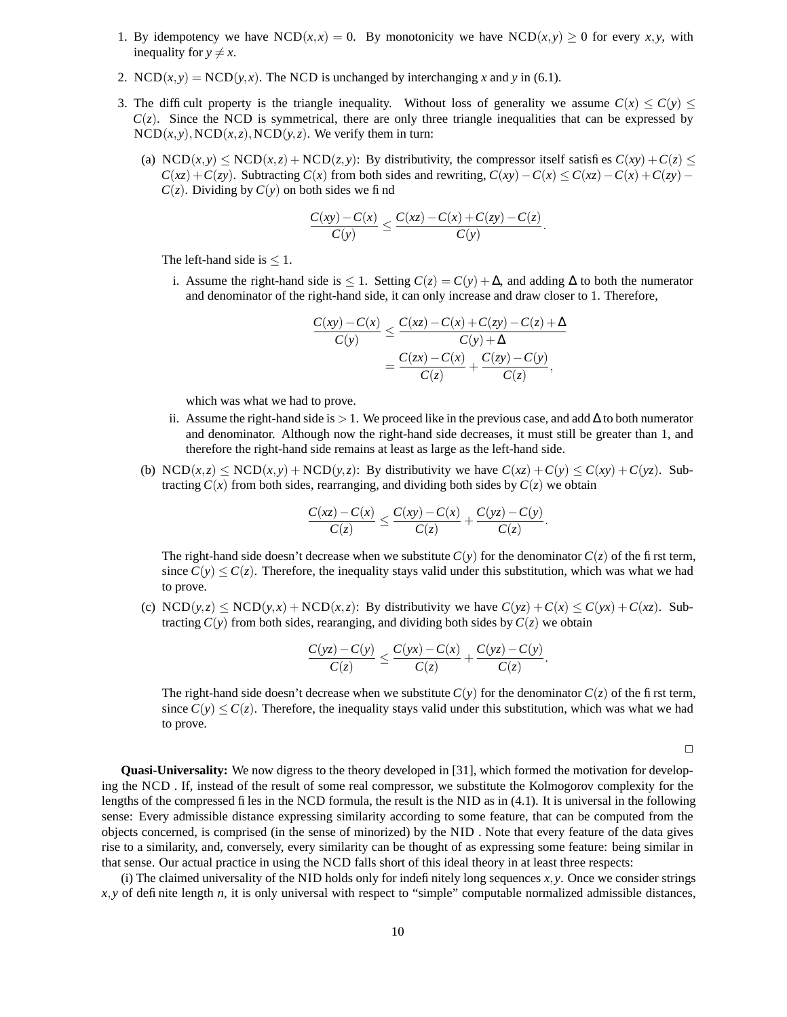- 1. By idempotency we have  $NCD(x, x) = 0$ . By monotonicity we have  $NCD(x, y) \ge 0$  for every x, y, with inequality for  $y \neq x$ .
- 2. NCD $(x, y)$  = NCD $(y, x)$ . The NCD is unchanged by interchanging *x* and *y* in (6.1).
- 3. The difficult property is the triangle inequality. Without loss of generality we assume  $C(x) \leq C(y) \leq C(y)$  $C(z)$ . Since the NCD is symmetrical, there are only three triangle inequalities that can be expressed by  $NCD(x, y)$ ,  $NCD(x, z)$ ,  $NCD(y, z)$ . We verify them in turn:
	- (a)  $NCD(x, y) \leq NCD(x, z) + NCD(z, y)$ : By distributivity, the compressor itself satisfies  $C(xy) + C(z) \leq C$  $C(xz) + C(zy)$ . Subtracting  $C(x)$  from both sides and rewriting,  $C(xy) - C(x) \leq C(xz) - C(x) + C(zy) - C(zy)$  $C(z)$ . Dividing by  $C(y)$  on both sides we find

$$
\frac{C(xy)-C(x)}{C(y)} \leq \frac{C(xz)-C(x)+C(zy)-C(z)}{C(y)}.
$$

The left-hand side is  $\leq 1$ .

i. Assume the right-hand side is ≤ 1. Setting  $C(z) = C(y) + \Delta$ , and adding  $\Delta$  to both the numerator and denominator of the right-hand side, it can only increase and draw closer to 1. Therefore,

$$
\frac{C(xy) - C(x)}{C(y)} \le \frac{C(xz) - C(x) + C(zy) - C(z) + \Delta}{C(y) + \Delta}
$$

$$
= \frac{C(zx) - C(x)}{C(z)} + \frac{C(zy) - C(y)}{C(z)},
$$

which was what we had to prove.

- ii. Assume the right-hand side is > 1. We proceed like in the previous case, and add ∆ to both numerator and denominator. Although now the right-hand side decreases, it must still be greater than 1, and therefore the right-hand side remains at least as large as the left-hand side.
- (b)  $NCD(x, z) \leq NCD(x, y) + NCD(y, z)$ : By distributivity we have  $C(xz) + C(y) \leq C(xy) + C(yz)$ . Subtracting  $C(x)$  from both sides, rearranging, and dividing both sides by  $C(z)$  we obtain

$$
\frac{C(xz) - C(x)}{C(z)} \le \frac{C(xy) - C(x)}{C(z)} + \frac{C(yz) - C(y)}{C(z)}.
$$

The right-hand side doesn't decrease when we substitute  $C(y)$  for the denominator  $C(z)$  of the first term, since  $C(y) \leq C(z)$ . Therefore, the inequality stays valid under this substitution, which was what we had to prove.

(c)  $NCD(y, z) \leq NCD(y, x) + NCD(x, z)$ : By distributivity we have  $C(yz) + C(x) \leq C(yx) + C(xz)$ . Subtracting  $C(y)$  from both sides, rearanging, and dividing both sides by  $C(z)$  we obtain

$$
\frac{C(yz) - C(y)}{C(z)} \le \frac{C(yx) - C(x)}{C(z)} + \frac{C(yz) - C(y)}{C(z)}.
$$

The right-hand side doesn't decrease when we substitute  $C(y)$  for the denominator  $C(z)$  of the first term, since  $C(y) \leq C(z)$ . Therefore, the inequality stays valid under this substitution, which was what we had to prove.

 $\Box$ 

**Quasi-Universality:** We now digress to the theory developed in [31], which formed the motivation for developing the NCD . If, instead of the result of some real compressor, we substitute the Kolmogorov complexity for the lengths of the compressed files in the NCD formula, the result is the NID as in (4.1). It is universal in the following sense: Every admissible distance expressing similarity according to some feature, that can be computed from the objects concerned, is comprised (in the sense of minorized) by the NID . Note that every feature of the data gives rise to a similarity, and, conversely, every similarity can be thought of as expressing some feature: being similar in that sense. Our actual practice in using the NCD falls short of this ideal theory in at least three respects:

(i) The claimed universality of the NID holds only for indefinitely long sequences *x*, *y*. Once we consider strings *x*, *y* of definite length *n*, it is only universal with respect to "simple" computable normalized admissible distances,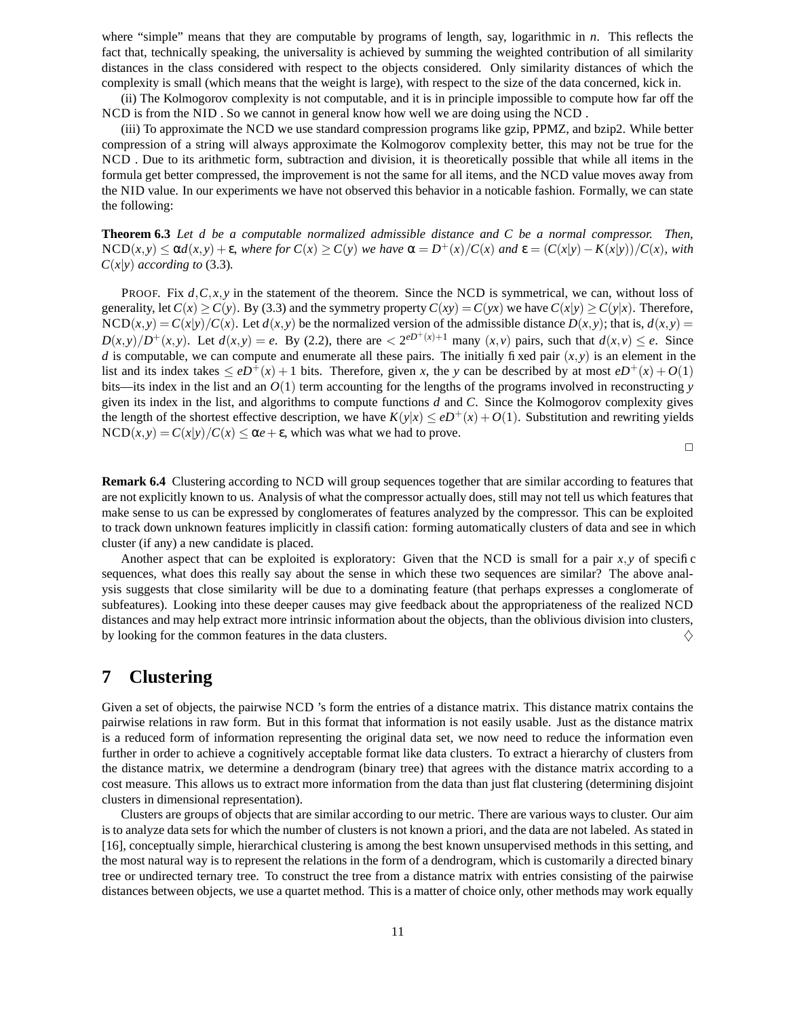where "simple" means that they are computable by programs of length, say, logarithmic in *n*. This reflects the fact that, technically speaking, the universality is achieved by summing the weighted contribution of all similarity distances in the class considered with respect to the objects considered. Only similarity distances of which the complexity is small (which means that the weight is large), with respect to the size of the data concerned, kick in.

(ii) The Kolmogorov complexity is not computable, and it is in principle impossible to compute how far off the NCD is from the NID . So we cannot in general know how well we are doing using the NCD .

(iii) To approximate the NCD we use standard compression programs like gzip, PPMZ, and bzip2. While better compression of a string will always approximate the Kolmogorov complexity better, this may not be true for the NCD . Due to its arithmetic form, subtraction and division, it is theoretically possible that while all items in the formula get better compressed, the improvement is not the same for all items, and the NCD value moves away from the NID value. In our experiments we have not observed this behavior in a noticable fashion. Formally, we can state the following:

**Theorem 6.3** *Let d be a computable normalized admissible distance and C be a normal compressor. Then,*  $NCD(x, y) \leq \alpha d(x, y) + \varepsilon$ , where for  $C(x) \geq C(y)$  we have  $\alpha = D^+(x)/C(x)$  and  $\varepsilon = (C(x|y) - K(x|y))/C(x)$ , with  $C(x|y)$  *according to* (3.3).

PROOF. Fix *d*,*C*,*x*, *y* in the statement of the theorem. Since the NCD is symmetrical, we can, without loss of generality, let  $C(x) \geq C(y)$ . By (3.3) and the symmetry property  $C(xy) = C(yx)$  we have  $C(x|y) \geq C(y|x)$ . Therefore,  $NCD(x, y) = C(x|y)/C(x)$ . Let  $d(x, y)$  be the normalized version of the admissible distance  $D(x, y)$ ; that is,  $d(x, y) =$  $D(x,y)/D^+(x,y)$ . Let  $d(x,y) = e$ . By (2.2), there are  $\langle 2^{eD^+(x)+1} \rangle$  many  $(x, y)$  pairs, such that  $d(x, y) \le e$ . Since *d* is computable, we can compute and enumerate all these pairs. The initially fixed pair  $(x, y)$  is an element in the list and its index takes  $\leq eD^+(x) + 1$  bits. Therefore, given *x*, the *y* can be described by at most  $eD^+(x) + O(1)$ bits—its index in the list and an *O*(1) term accounting for the lengths of the programs involved in reconstructing *y* given its index in the list, and algorithms to compute functions *d* and *C*. Since the Kolmogorov complexity gives the length of the shortest effective description, we have  $K(y|x) \leq e^{Dt} + O(1)$ . Substitution and rewriting yields  $NCD(x, y) = C(x|y)/C(x) \leq \alpha e + \epsilon$ , which was what we had to prove.

 $\Box$ 

**Remark 6.4** Clustering according to NCD will group sequences together that are similar according to features that are not explicitly known to us. Analysis of what the compressor actually does, still may not tell us which features that make sense to us can be expressed by conglomerates of features analyzed by the compressor. This can be exploited to track down unknown features implicitly in classification: forming automatically clusters of data and see in which cluster (if any) a new candidate is placed.

Another aspect that can be exploited is exploratory: Given that the NCD is small for a pair *x*, *y* of specific sequences, what does this really say about the sense in which these two sequences are similar? The above analysis suggests that close similarity will be due to a dominating feature (that perhaps expresses a conglomerate of subfeatures). Looking into these deeper causes may give feedback about the appropriateness of the realized NCD distances and may help extract more intrinsic information about the objects, than the oblivious division into clusters, by looking for the common features in the data clusters.  $\Diamond$ 

### **7 Clustering**

Given a set of objects, the pairwise NCD 's form the entries of a distance matrix. This distance matrix contains the pairwise relations in raw form. But in this format that information is not easily usable. Just as the distance matrix is a reduced form of information representing the original data set, we now need to reduce the information even further in order to achieve a cognitively acceptable format like data clusters. To extract a hierarchy of clusters from the distance matrix, we determine a dendrogram (binary tree) that agrees with the distance matrix according to a cost measure. This allows us to extract more information from the data than just flat clustering (determining disjoint clusters in dimensional representation).

Clusters are groups of objects that are similar according to our metric. There are various ways to cluster. Our aim is to analyze data sets for which the number of clusters is not known a priori, and the data are not labeled. As stated in [16], conceptually simple, hierarchical clustering is among the best known unsupervised methods in this setting, and the most natural way is to represent the relations in the form of a dendrogram, which is customarily a directed binary tree or undirected ternary tree. To construct the tree from a distance matrix with entries consisting of the pairwise distances between objects, we use a quartet method. This is a matter of choice only, other methods may work equally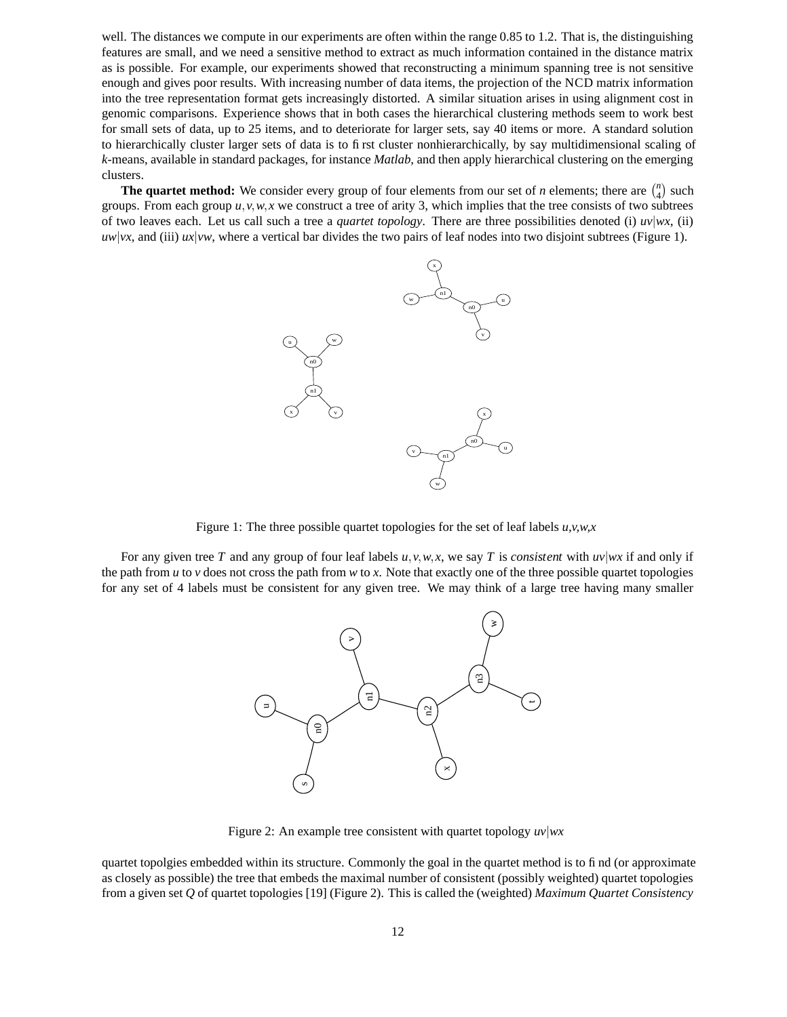well. The distances we compute in our experiments are often within the range 0.85 to 1.2. That is, the distinguishing features are small, and we need a sensitive method to extract as much information contained in the distance matrix as is possible. For example, our experiments showed that reconstructing a minimum spanning tree is not sensitive enough and gives poor results. With increasing number of data items, the projection of the NCD matrix information into the tree representation format gets increasingly distorted. A similar situation arises in using alignment cost in genomic comparisons. Experience shows that in both cases the hierarchical clustering methods seem to work best for small sets of data, up to 25 items, and to deteriorate for larger sets, say 40 items or more. A standard solution to hierarchically cluster larger sets of data is to first cluster nonhierarchically, by say multidimensional scaling of *k*-means, available in standard packages, for instance *Matlab*, and then apply hierarchical clustering on the emerging clusters.

**The quartet method:** We consider every group of four elements from our set of *n* elements; there are  $\binom{n}{4}$  such groups. From each group  $u, v, w, x$  we construct a tree of arity 3, which implies that the tree consists of two subtrees of two leaves each. Let us call such a tree a *quartet topology*. There are three possibilities denoted (i)  $uv|wx$ , (ii)  $uw|vx$ , and (iii)  $ux|vw$ , where a vertical bar divides the two pairs of leaf nodes into two disjoint subtrees (Figure 1).



Figure 1: The three possible quartet topologies for the set of leaf labels *u,v,w,x*

For any given tree T and any group of four leaf labels  $u, v, w, x$ , we say T is *consistent* with  $uv|wx$  if and only if the path from  $u$  to  $v$  does not cross the path from  $w$  to  $x$ . Note that exactly one of the three possible quartet topologies for any set of 4 labels must be consistent for any given tree. We may think of a large tree having many smaller



Figure 2: An example tree consistent with quartet topology *uv*|*wx*

quartet topolgies embedded within its structure. Commonly the goal in the quartet method is to find (or approximate as closely as possible) the tree that embeds the maximal number of consistent (possibly weighted) quartet topologies from a given set *Q* of quartet topologies [19] (Figure 2). This is called the (weighted) *Maximum Quartet Consistency*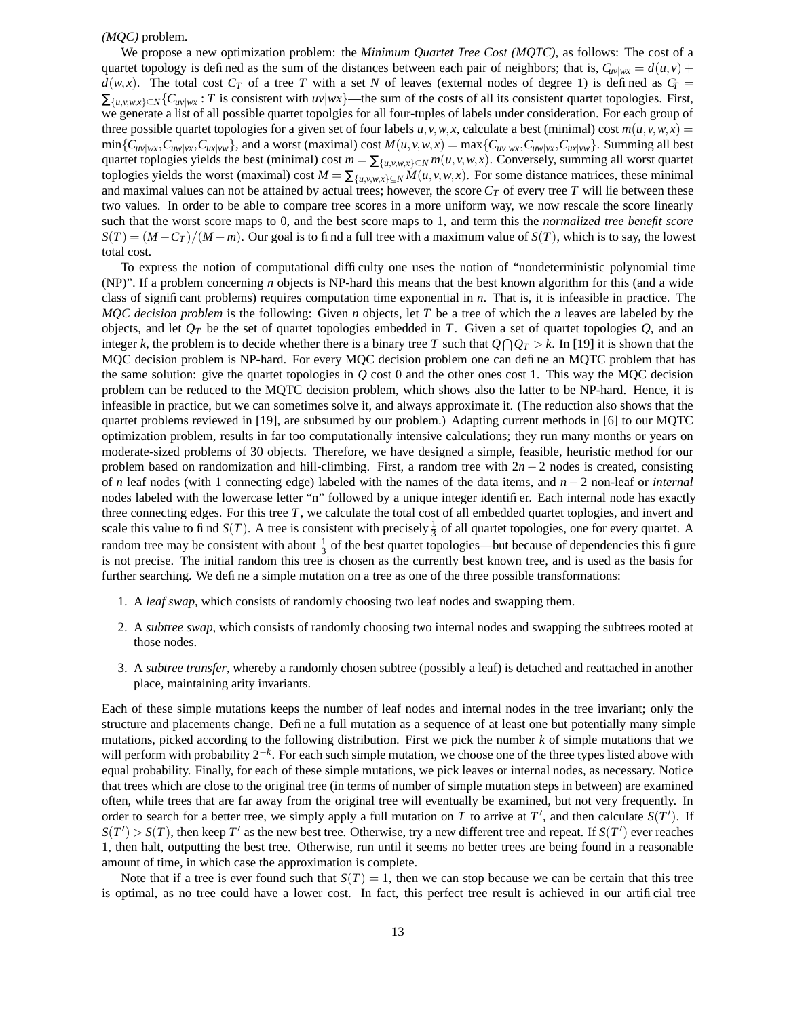*(MQC)* problem.

We propose a new optimization problem: the *Minimum Quartet Tree Cost (MQTC)*, as follows: The cost of a quartet topology is defined as the sum of the distances between each pair of neighbors; that is,  $C_{uv|wx} = d(u, v) + d(v, w)$  $d(w, x)$ . The total cost  $C_T$  of a tree *T* with a set *N* of leaves (external nodes of degree 1) is defined as  $C_T =$  $\sum_{\{u,v,w,x\} \subset N} \{C_{uv|wx} : T$  is consistent with  $uv|wx\}$ —the sum of the costs of all its consistent quartet topologies. First, we generate a list of all possible quartet topolgies for all four-tuples of labels under consideration. For each group of three possible quartet topologies for a given set of four labels  $u, v, w, x$ , calculate a best (minimal) cost  $m(u, v, w, x) =$  $\min\{C_{uv|wx}, C_{uv|vx}, C_{ux|vw}\}\$ , and a worst (maximal) cost  $M(u, v, w, x) = \max\{C_{uv|wx}, C_{uv|vx}, C_{ux|vw}\}\$ . Summing all best quartet toplogies yields the best (minimal) cost  $m = \sum_{\{u,v,w,x\} \subseteq N} m(u,v,w,x)$ . Conversely, summing all worst quartet toplogies yields the worst (maximal) cost  $M = \sum_{\{u,v,w,x\} \subseteq N} M(u,v,w,x)$ . For some distance matrices, these minimal and maximal values can not be attained by actual trees; however, the score  $C_T$  of every tree  $T$  will lie between these two values. In order to be able to compare tree scores in a more uniform way, we now rescale the score linearly such that the worst score maps to 0, and the best score maps to 1, and term this the *normalized tree benefit score*  $S(T) = (M - C_T)/(M - m)$ . Our goal is to find a full tree with a maximum value of  $S(T)$ , which is to say, the lowest total cost.

To express the notion of computational difficulty one uses the notion of "nondeterministic polynomial time (NP)". If a problem concerning *n* objects is NP-hard this means that the best known algorithm for this (and a wide class of significant problems) requires computation time exponential in *n*. That is, it is infeasible in practice. The *MQC decision problem* is the following: Given *n* objects, let *T* be a tree of which the *n* leaves are labeled by the objects, and let *Q<sup>T</sup>* be the set of quartet topologies embedded in *T*. Given a set of quartet topologies *Q*, and an integer *k*, the problem is to decide whether there is a binary tree *T* such that  $Q \cap Q_T > k$ . In [19] it is shown that the MQC decision problem is NP-hard. For every MQC decision problem one can define an MQTC problem that has the same solution: give the quartet topologies in *Q* cost 0 and the other ones cost 1. This way the MQC decision problem can be reduced to the MQTC decision problem, which shows also the latter to be NP-hard. Hence, it is infeasible in practice, but we can sometimes solve it, and always approximate it. (The reduction also shows that the quartet problems reviewed in [19], are subsumed by our problem.) Adapting current methods in [6] to our MQTC optimization problem, results in far too computationally intensive calculations; they run many months or years on moderate-sized problems of 30 objects. Therefore, we have designed a simple, feasible, heuristic method for our problem based on randomization and hill-climbing. First, a random tree with 2*n* − 2 nodes is created, consisting of *n* leaf nodes (with 1 connecting edge) labeled with the names of the data items, and *n* − 2 non-leaf or *internal* nodes labeled with the lowercase letter "n" followed by a unique integer identifier. Each internal node has exactly three connecting edges. For this tree *T*, we calculate the total cost of all embedded quartet toplogies, and invert and scale this value to find  $S(T)$ . A tree is consistent with precisely  $\frac{1}{3}$  of all quartet topologies, one for every quartet. A random tree may be consistent with about  $\frac{1}{3}$  of the best quartet topologies—but because of dependencies this figure is not precise. The initial random this tree is chosen as the currently best known tree, and is used as the basis for further searching. We define a simple mutation on a tree as one of the three possible transformations:

- 1. A *leaf swap*, which consists of randomly choosing two leaf nodes and swapping them.
- 2. A *subtree swap*, which consists of randomly choosing two internal nodes and swapping the subtrees rooted at those nodes.
- 3. A *subtree transfer*, whereby a randomly chosen subtree (possibly a leaf) is detached and reattached in another place, maintaining arity invariants.

Each of these simple mutations keeps the number of leaf nodes and internal nodes in the tree invariant; only the structure and placements change. Define a full mutation as a sequence of at least one but potentially many simple mutations, picked according to the following distribution. First we pick the number *k* of simple mutations that we will perform with probability  $2^{-k}$ . For each such simple mutation, we choose one of the three types listed above with equal probability. Finally, for each of these simple mutations, we pick leaves or internal nodes, as necessary. Notice that trees which are close to the original tree (in terms of number of simple mutation steps in between) are examined often, while trees that are far away from the original tree will eventually be examined, but not very frequently. In order to search for a better tree, we simply apply a full mutation on  $T$  to arrive at  $T'$ , and then calculate  $S(T')$ . If  $S(T') > S(T)$ , then keep *T*' as the new best tree. Otherwise, try a new different tree and repeat. If  $S(T')$  ever reaches 1, then halt, outputting the best tree. Otherwise, run until it seems no better trees are being found in a reasonable amount of time, in which case the approximation is complete.

Note that if a tree is ever found such that  $S(T) = 1$ , then we can stop because we can be certain that this tree is optimal, as no tree could have a lower cost. In fact, this perfect tree result is achieved in our artificial tree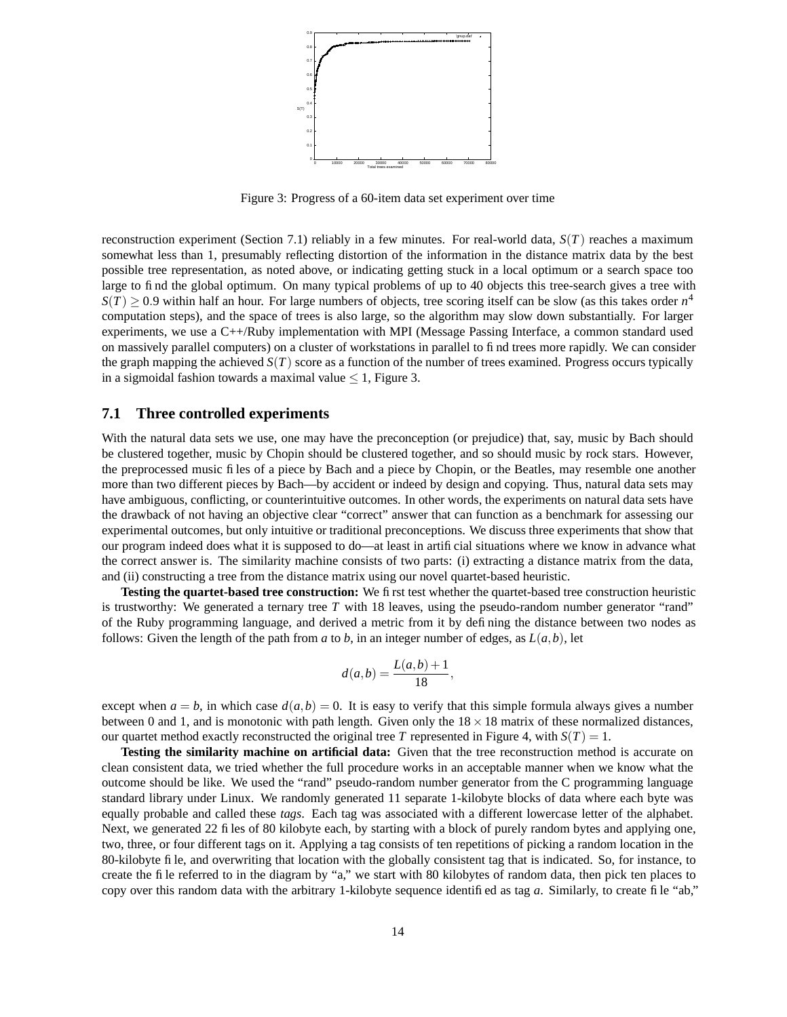

Figure 3: Progress of a 60-item data set experiment over time

reconstruction experiment (Section 7.1) reliably in a few minutes. For real-world data, *S*(*T*) reaches a maximum somewhat less than 1, presumably reflecting distortion of the information in the distance matrix data by the best possible tree representation, as noted above, or indicating getting stuck in a local optimum or a search space too large to find the global optimum. On many typical problems of up to 40 objects this tree-search gives a tree with  $S(T) \geq 0.9$  within half an hour. For large numbers of objects, tree scoring itself can be slow (as this takes order  $n^4$ computation steps), and the space of trees is also large, so the algorithm may slow down substantially. For larger experiments, we use a C++/Ruby implementation with MPI (Message Passing Interface, a common standard used on massively parallel computers) on a cluster of workstations in parallel to find trees more rapidly. We can consider the graph mapping the achieved  $S(T)$  score as a function of the number of trees examined. Progress occurs typically in a sigmoidal fashion towards a maximal value  $\leq 1$ , Figure 3.

#### **7.1 Three controlled experiments**

With the natural data sets we use, one may have the preconception (or prejudice) that, say, music by Bach should be clustered together, music by Chopin should be clustered together, and so should music by rock stars. However, the preprocessed music files of a piece by Bach and a piece by Chopin, or the Beatles, may resemble one another more than two different pieces by Bach—by accident or indeed by design and copying. Thus, natural data sets may have ambiguous, conflicting, or counterintuitive outcomes. In other words, the experiments on natural data sets have the drawback of not having an objective clear "correct" answer that can function as a benchmark for assessing our experimental outcomes, but only intuitive or traditional preconceptions. We discuss three experiments that show that our program indeed does what it is supposed to do—at least in artificial situations where we know in advance what the correct answer is. The similarity machine consists of two parts: (i) extracting a distance matrix from the data, and (ii) constructing a tree from the distance matrix using our novel quartet-based heuristic.

**Testing the quartet-based tree construction:** We first test whether the quartet-based tree construction heuristic is trustworthy: We generated a ternary tree  $T$  with 18 leaves, using the pseudo-random number generator "rand" of the Ruby programming language, and derived a metric from it by defining the distance between two nodes as follows: Given the length of the path from *a* to *b*, in an integer number of edges, as  $L(a, b)$ , let

$$
d(a,b) = \frac{L(a,b)+1}{18},
$$

except when  $a = b$ , in which case  $d(a,b) = 0$ . It is easy to verify that this simple formula always gives a number between 0 and 1, and is monotonic with path length. Given only the  $18 \times 18$  matrix of these normalized distances, our quartet method exactly reconstructed the original tree *T* represented in Figure 4, with  $S(T) = 1$ .

**Testing the similarity machine on artificial data:** Given that the tree reconstruction method is accurate on clean consistent data, we tried whether the full procedure works in an acceptable manner when we know what the outcome should be like. We used the "rand" pseudo-random number generator from the C programming language standard library under Linux. We randomly generated 11 separate 1-kilobyte blocks of data where each byte was equally probable and called these *tags*. Each tag was associated with a different lowercase letter of the alphabet. Next, we generated 22 files of 80 kilobyte each, by starting with a block of purely random bytes and applying one, two, three, or four different tags on it. Applying a tag consists of ten repetitions of picking a random location in the 80-kilobyte file, and overwriting that location with the globally consistent tag that is indicated. So, for instance, to create the file referred to in the diagram by "a," we start with 80 kilobytes of random data, then pick ten places to copy over this random data with the arbitrary 1-kilobyte sequence identified as tag *a*. Similarly, to create file "ab,"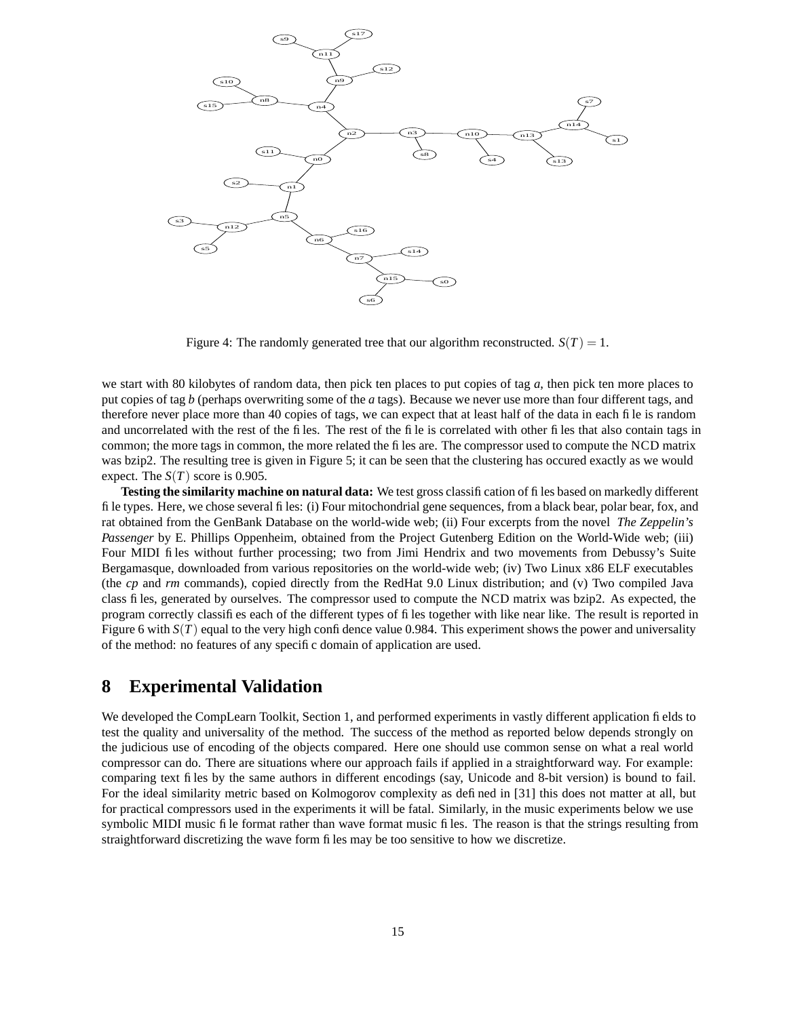

Figure 4: The randomly generated tree that our algorithm reconstructed.  $S(T) = 1$ .

we start with 80 kilobytes of random data, then pick ten places to put copies of tag *a*, then pick ten more places to put copies of tag *b* (perhaps overwriting some of the *a* tags). Because we never use more than four different tags, and therefore never place more than 40 copies of tags, we can expect that at least half of the data in each file is random and uncorrelated with the rest of the files. The rest of the file is correlated with other files that also contain tags in common; the more tags in common, the more related the files are. The compressor used to compute the NCD matrix was bzip2. The resulting tree is given in Figure 5; it can be seen that the clustering has occured exactly as we would expect. The  $S(T)$  score is 0.905.

**Testing the similarity machine on natural data:** We test gross classification of files based on markedly different file types. Here, we chose several files: (i) Four mitochondrial gene sequences, from a black bear, polar bear, fox, and rat obtained from the GenBank Database on the world-wide web; (ii) Four excerpts from the novel *The Zeppelin's Passenger* by E. Phillips Oppenheim, obtained from the Project Gutenberg Edition on the World-Wide web; (iii) Four MIDI files without further processing; two from Jimi Hendrix and two movements from Debussy's Suite Bergamasque, downloaded from various repositories on the world-wide web; (iv) Two Linux x86 ELF executables (the *cp* and *rm* commands), copied directly from the RedHat 9.0 Linux distribution; and (v) Two compiled Java class files, generated by ourselves. The compressor used to compute the NCD matrix was bzip2. As expected, the program correctly classifies each of the different types of files together with like near like. The result is reported in Figure 6 with  $S(T)$  equal to the very high confidence value 0.984. This experiment shows the power and universality of the method: no features of any specific domain of application are used.

### **8 Experimental Validation**

We developed the CompLearn Toolkit, Section 1, and performed experiments in vastly different application fields to test the quality and universality of the method. The success of the method as reported below depends strongly on the judicious use of encoding of the objects compared. Here one should use common sense on what a real world compressor can do. There are situations where our approach fails if applied in a straightforward way. For example: comparing text files by the same authors in different encodings (say, Unicode and 8-bit version) is bound to fail. For the ideal similarity metric based on Kolmogorov complexity as defined in [31] this does not matter at all, but for practical compressors used in the experiments it will be fatal. Similarly, in the music experiments below we use symbolic MIDI music file format rather than wave format music files. The reason is that the strings resulting from straightforward discretizing the wave form files may be too sensitive to how we discretize.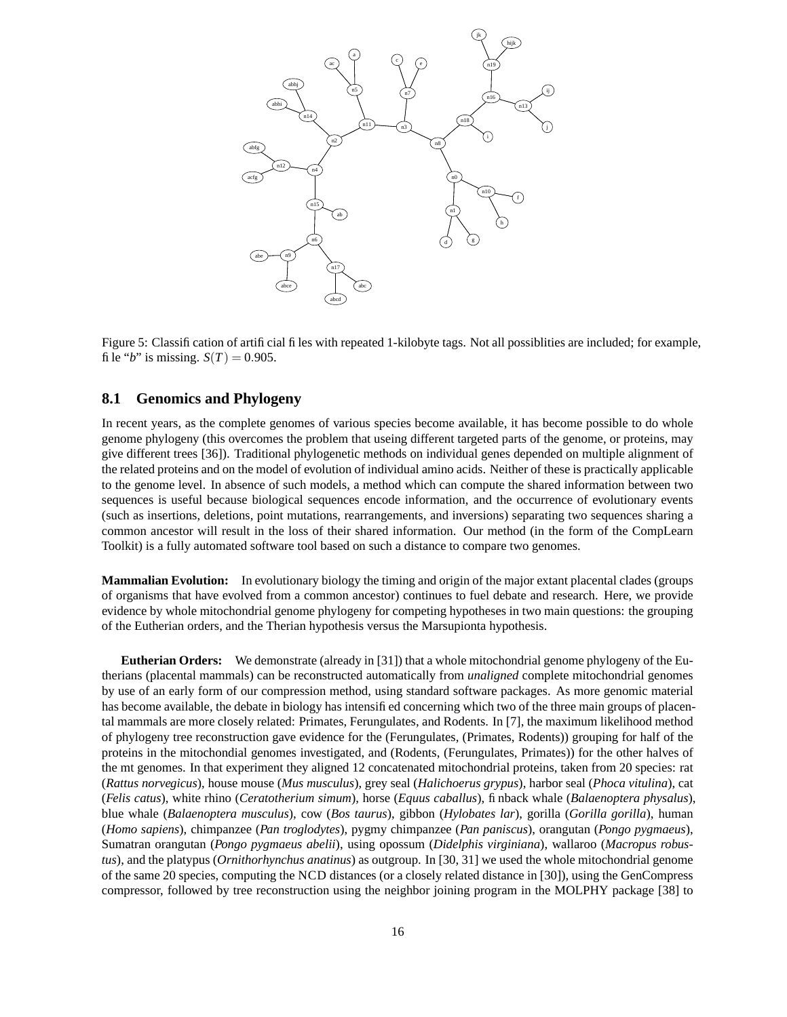

Figure 5: Classification of artificial files with repeated 1-kilobyte tags. Not all possiblities are included; for example, file "*b*" is missing.  $S(T) = 0.905$ .

#### **8.1 Genomics and Phylogeny**

In recent years, as the complete genomes of various species become available, it has become possible to do whole genome phylogeny (this overcomes the problem that useing different targeted parts of the genome, or proteins, may give different trees [36]). Traditional phylogenetic methods on individual genes depended on multiple alignment of the related proteins and on the model of evolution of individual amino acids. Neither of these is practically applicable to the genome level. In absence of such models, a method which can compute the shared information between two sequences is useful because biological sequences encode information, and the occurrence of evolutionary events (such as insertions, deletions, point mutations, rearrangements, and inversions) separating two sequences sharing a common ancestor will result in the loss of their shared information. Our method (in the form of the CompLearn Toolkit) is a fully automated software tool based on such a distance to compare two genomes.

**Mammalian Evolution:** In evolutionary biology the timing and origin of the major extant placental clades (groups of organisms that have evolved from a common ancestor) continues to fuel debate and research. Here, we provide evidence by whole mitochondrial genome phylogeny for competing hypotheses in two main questions: the grouping of the Eutherian orders, and the Therian hypothesis versus the Marsupionta hypothesis.

**Eutherian Orders:** We demonstrate (already in [31]) that a whole mitochondrial genome phylogeny of the Eutherians (placental mammals) can be reconstructed automatically from *unaligned* complete mitochondrial genomes by use of an early form of our compression method, using standard software packages. As more genomic material has become available, the debate in biology has intensified concerning which two of the three main groups of placental mammals are more closely related: Primates, Ferungulates, and Rodents. In [7], the maximum likelihood method of phylogeny tree reconstruction gave evidence for the (Ferungulates, (Primates, Rodents)) grouping for half of the proteins in the mitochondial genomes investigated, and (Rodents, (Ferungulates, Primates)) for the other halves of the mt genomes. In that experiment they aligned 12 concatenated mitochondrial proteins, taken from 20 species: rat (*Rattus norvegicus*), house mouse (*Mus musculus*), grey seal (*Halichoerus grypus*), harbor seal (*Phoca vitulina*), cat (*Felis catus*), white rhino (*Ceratotherium simum*), horse (*Equus caballus*), finback whale (*Balaenoptera physalus*), blue whale (*Balaenoptera musculus*), cow (*Bos taurus*), gibbon (*Hylobates lar*), gorilla (*Gorilla gorilla*), human (*Homo sapiens*), chimpanzee (*Pan troglodytes*), pygmy chimpanzee (*Pan paniscus*), orangutan (*Pongo pygmaeus*), Sumatran orangutan (*Pongo pygmaeus abelii*), using opossum (*Didelphis virginiana*), wallaroo (*Macropus robustus*), and the platypus (*Ornithorhynchus anatinus*) as outgroup. In [30, 31] we used the whole mitochondrial genome of the same 20 species, computing the NCD distances (or a closely related distance in [30]), using the GenCompress compressor, followed by tree reconstruction using the neighbor joining program in the MOLPHY package [38] to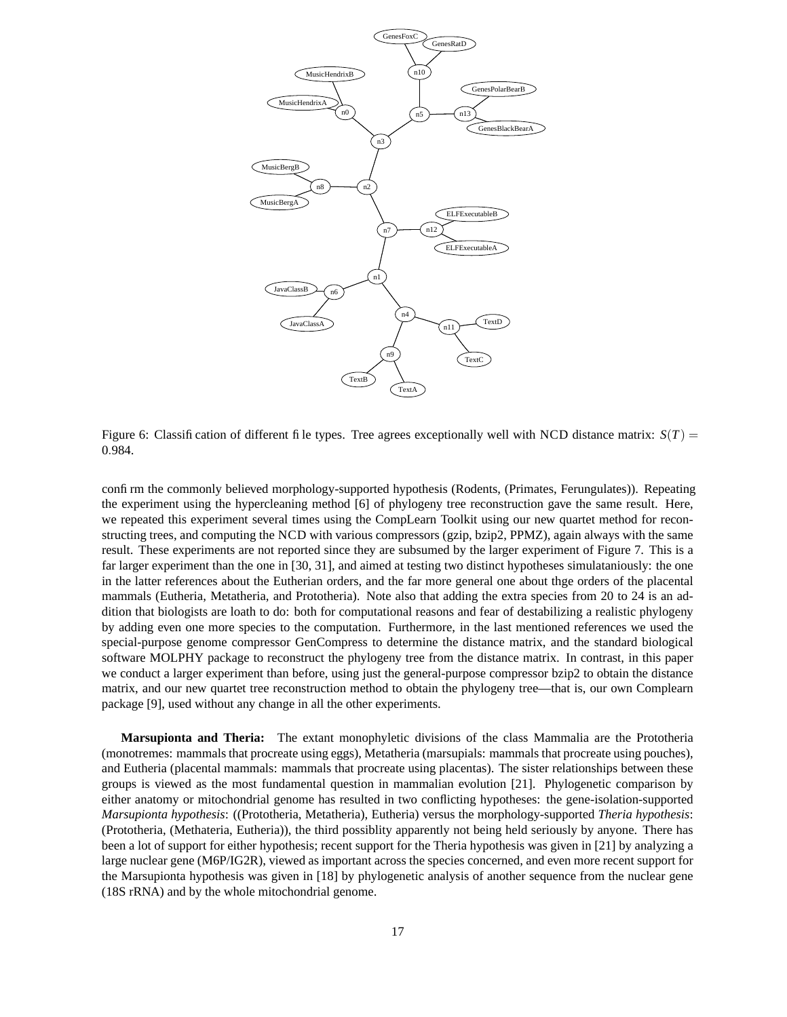

Figure 6: Classification of different file types. Tree agrees exceptionally well with NCD distance matrix:  $S(T)$  = 0.984.

confirm the commonly believed morphology-supported hypothesis (Rodents, (Primates, Ferungulates)). Repeating the experiment using the hypercleaning method [6] of phylogeny tree reconstruction gave the same result. Here, we repeated this experiment several times using the CompLearn Toolkit using our new quartet method for reconstructing trees, and computing the NCD with various compressors (gzip, bzip2, PPMZ), again always with the same result. These experiments are not reported since they are subsumed by the larger experiment of Figure 7. This is a far larger experiment than the one in [30, 31], and aimed at testing two distinct hypotheses simulataniously: the one in the latter references about the Eutherian orders, and the far more general one about thge orders of the placental mammals (Eutheria, Metatheria, and Prototheria). Note also that adding the extra species from 20 to 24 is an addition that biologists are loath to do: both for computational reasons and fear of destabilizing a realistic phylogeny by adding even one more species to the computation. Furthermore, in the last mentioned references we used the special-purpose genome compressor GenCompress to determine the distance matrix, and the standard biological software MOLPHY package to reconstruct the phylogeny tree from the distance matrix. In contrast, in this paper we conduct a larger experiment than before, using just the general-purpose compressor bzip2 to obtain the distance matrix, and our new quartet tree reconstruction method to obtain the phylogeny tree—that is, our own Complearn package [9], used without any change in all the other experiments.

**Marsupionta and Theria:** The extant monophyletic divisions of the class Mammalia are the Prototheria (monotremes: mammals that procreate using eggs), Metatheria (marsupials: mammals that procreate using pouches), and Eutheria (placental mammals: mammals that procreate using placentas). The sister relationships between these groups is viewed as the most fundamental question in mammalian evolution [21]. Phylogenetic comparison by either anatomy or mitochondrial genome has resulted in two conflicting hypotheses: the gene-isolation-supported *Marsupionta hypothesis*: ((Prototheria, Metatheria), Eutheria) versus the morphology-supported *Theria hypothesis*: (Prototheria, (Methateria, Eutheria)), the third possiblity apparently not being held seriously by anyone. There has been a lot of support for either hypothesis; recent support for the Theria hypothesis was given in [21] by analyzing a large nuclear gene (M6P/IG2R), viewed as important across the species concerned, and even more recent support for the Marsupionta hypothesis was given in [18] by phylogenetic analysis of another sequence from the nuclear gene (18S rRNA) and by the whole mitochondrial genome.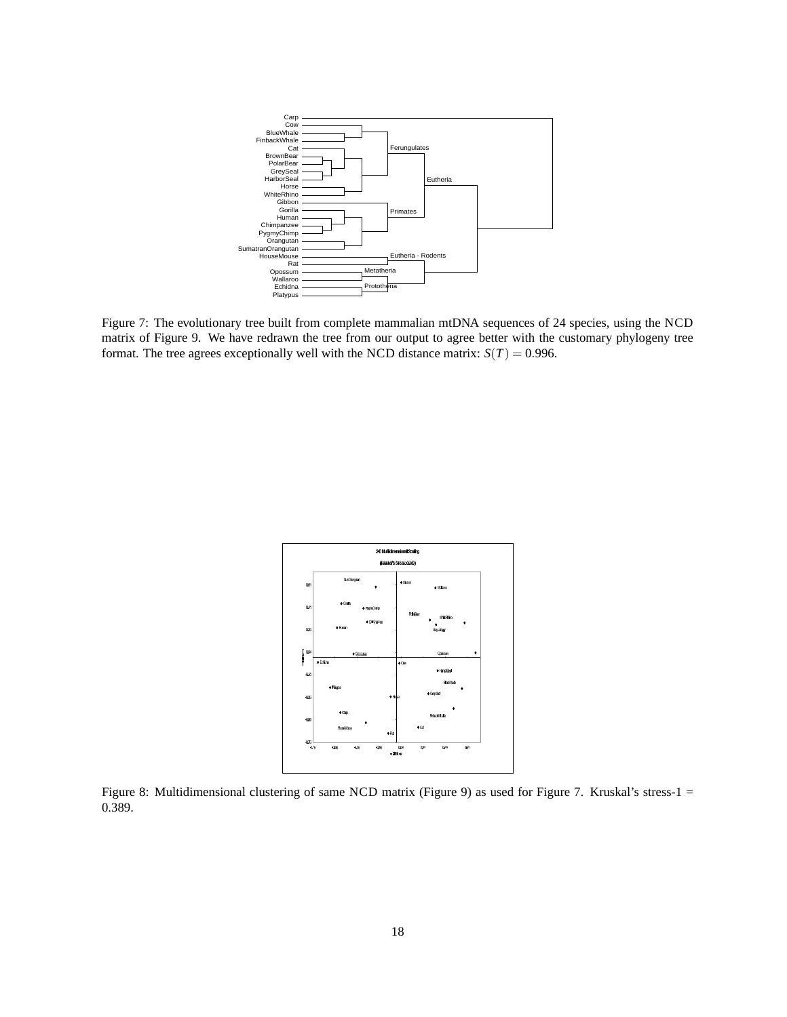

Figure 7: The evolutionary tree built from complete mammalian mtDNA sequences of 24 species, using the NCD matrix of Figure 9. We have redrawn the tree from our output to agree better with the customary phylogeny tree format. The tree agrees exceptionally well with the NCD distance matrix:  $S(T) = 0.996$ .



Figure 8: Multidimensional clustering of same NCD matrix (Figure 9) as used for Figure 7. Kruskal's stress-1 = 0.389.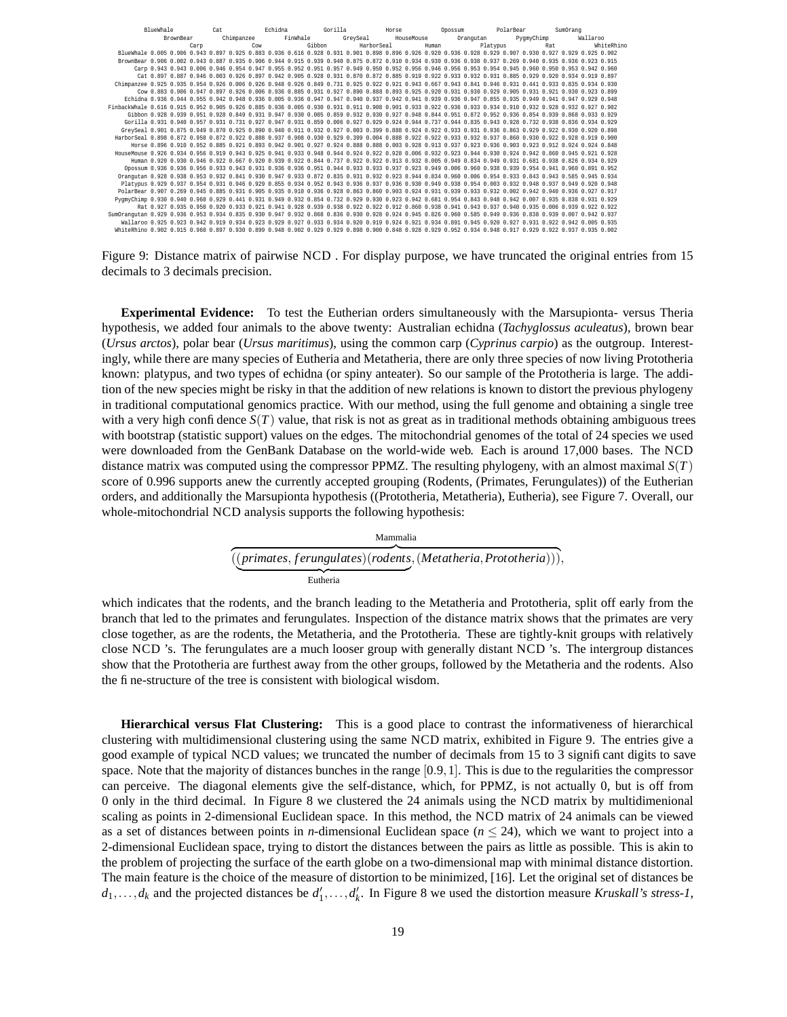|                                                                                                                                                                  | BlueWhale        |  |      | Cat        |  |     | Echidna  |  |        | Gorilla  |  |            | Horse |            |       | Opossum                                                                                                                                                    |  |  | PolarBear  |  |  | SumOrang |  |            |
|------------------------------------------------------------------------------------------------------------------------------------------------------------------|------------------|--|------|------------|--|-----|----------|--|--------|----------|--|------------|-------|------------|-------|------------------------------------------------------------------------------------------------------------------------------------------------------------|--|--|------------|--|--|----------|--|------------|
|                                                                                                                                                                  | <b>BrownBear</b> |  |      | Chimpanzee |  |     | FinWhale |  |        | GrevSeal |  |            |       | HouseMouse |       | Orangutan                                                                                                                                                  |  |  | PvgmvChimo |  |  | Wallaroo |  |            |
|                                                                                                                                                                  |                  |  | Carp |            |  | Cow |          |  | Gibbon |          |  | HarborSeal |       |            | Human |                                                                                                                                                            |  |  | Platypus   |  |  | Rat      |  | WhiteRhino |
| BlueWhale 0.005 0.906 0.943 0.897 0.925 0.883 0.936 0.616 0.928 0.931 0.901 0.898 0.896 0.926 0.920 0.936 0.928 0.929 0.929 0.907 0.930 0.927 0.929 0.925 0.902  |                  |  |      |            |  |     |          |  |        |          |  |            |       |            |       |                                                                                                                                                            |  |  |            |  |  |          |  |            |
| BrownBear 0.906 0.002 0.943 0.887 0.935 0.906 0.944 0.915 0.939 0.940 0.875 0.872 0.910 0.934 0.930 0.936 0.938 0.937 0.269 0.940 0.935 0.936 0.923 0.915        |                  |  |      |            |  |     |          |  |        |          |  |            |       |            |       |                                                                                                                                                            |  |  |            |  |  |          |  |            |
|                                                                                                                                                                  |                  |  |      |            |  |     |          |  |        |          |  |            |       |            |       | Carp 0.943 0.943 0.006 0.946 0.954 0.957 0.955 0.952 0.951 0.957 0.949 0.950 0.952 0.956 0.946 0.956 0.955 0.954 0.954 0.960 0.950 0.953 0.960 0.953 0.960 |  |  |            |  |  |          |  |            |
|                                                                                                                                                                  |                  |  |      |            |  |     |          |  |        |          |  |            |       |            |       | Cat 0.897 0.887 0.946 0.003 0.926 0.897 0.942 0.905 0.928 0.931 0.870 0.872 0.885 0.919 0.922 0.933 0.933 0.931 0.885 0.929 0.920 0.934 0.919 0.897        |  |  |            |  |  |          |  |            |
| Chimpanzee 0.925 0.935 0.954 0.926 0.006 0.926 0.948 0.926 0.849 0.731 0.925 0.922 0.921 0.943 0.667 0.943 0.841 0.946 0.931 0.441 0.933 0.835 0.934 0.930       |                  |  |      |            |  |     |          |  |        |          |  |            |       |            |       |                                                                                                                                                            |  |  |            |  |  |          |  |            |
|                                                                                                                                                                  |                  |  |      |            |  |     |          |  |        |          |  |            |       |            |       | Cow 0.883 0.906 0.947 0.897 0.926 0.006 0.936 0.885 0.931 0.927 0.890 0.888 0.893 0.925 0.920 0.931 0.930 0.929 0.905 0.931 0.921 0.930 0.933 0.899        |  |  |            |  |  |          |  |            |
| Rchidna 0.936 0.944 0.955 0.942 0.948 0.936 0.005 0.936 0.947 0.947 0.940 0.937 0.942 0.941 0.939 0.936 0.947 0.855 0.935 0.949 0.949 0.947 0.929 0.948          |                  |  |      |            |  |     |          |  |        |          |  |            |       |            |       |                                                                                                                                                            |  |  |            |  |  |          |  |            |
| FinbackWhale 0.616 0.915 0.952 0.905 0.926 0.885 0.936 0.005 0.930 0.931 0.911 0.908 0.901 0.933 0.933 0.936 0.933 0.934 0.910 0.932 0.938 0.932 0.927 0.902     |                  |  |      |            |  |     |          |  |        |          |  |            |       |            |       |                                                                                                                                                            |  |  |            |  |  |          |  |            |
| Gibbon 0.928 0.939 0.951 0.928 0.849 0.931 0.947 0.930 0.005 0.859 0.932 0.930 0.927 0.948 0.844 0.951 0.872 0.932 0.936 0.854 0.939 0.868 0.933 0.929           |                  |  |      |            |  |     |          |  |        |          |  |            |       |            |       |                                                                                                                                                            |  |  |            |  |  |          |  |            |
| Gorilla 0.931 0.940 0.957 0.931 0.731 0.927 0.947 0.931 0.859 0.006 0.927 0.929 0.924 0.944 0.737 0.944 0.835 0.943 0.928 0.732 0.938 0.836 0.934 0.929          |                  |  |      |            |  |     |          |  |        |          |  |            |       |            |       |                                                                                                                                                            |  |  |            |  |  |          |  |            |
| GrevSeal 0.901 0.875 0.949 0.870 0.925 0.890 0.940 0.911 0.932 0.927 0.003 0.399 0.888 0.924 0.922 0.933 0.931 0.936 0.863 0.929 0.922 0.930 0.920 0.898         |                  |  |      |            |  |     |          |  |        |          |  |            |       |            |       |                                                                                                                                                            |  |  |            |  |  |          |  |            |
| HarborSeal 0.898 0.872 0.950 0.872 0.922 0.888 0.937 0.908 0.930 0.939 0.004 0.888 0.922 0.922 0.933 0.932 0.937 0.860 0.930 0.922 0.928 0.919 0.900             |                  |  |      |            |  |     |          |  |        |          |  |            |       |            |       |                                                                                                                                                            |  |  |            |  |  |          |  |            |
|                                                                                                                                                                  |                  |  |      |            |  |     |          |  |        |          |  |            |       |            |       | Horse 0.896 0.910 0.952 0.885 0.921 0.893 0.942 0.901 0.927 0.924 0.888 0.888 0.003 0.928 0.913 0.937 0.923 0.936 0.903 0.923 0.912 0.924 0.848            |  |  |            |  |  |          |  |            |
| HouseMouse 0.926 0.934 0.956 0.919 0.943 0.925 0.941 0.933 0.948 0.944 0.924 0.922 0.928 0.006 0.932 0.923 0.944 0.930 0.930 0.924 0.945 0.960 0.945 0.921 0.928 |                  |  |      |            |  |     |          |  |        |          |  |            |       |            |       |                                                                                                                                                            |  |  |            |  |  |          |  |            |
|                                                                                                                                                                  |                  |  |      |            |  |     |          |  |        |          |  |            |       |            |       | Human 0.920 0.930 0.946 0.922 0.667 0.920 0.939 0.922 0.844 0.737 0.922 0.912 0.913 0.932 0.005 0.949 0.834 0.949 0.931 0.681 0.938 0.826 0.934 0.929      |  |  |            |  |  |          |  |            |
| Opossum 0.936 0.936 0.956 0.933 0.943 0.931 0.936 0.936 0.951 0.944 0.933 0.933 0.937 0.923 0.949 0.006 0.960 0.938 0.939 0.954 0.941 0.960 0.891 0.952          |                  |  |      |            |  |     |          |  |        |          |  |            |       |            |       |                                                                                                                                                            |  |  |            |  |  |          |  |            |
| Orangutan 0.928 0.938 0.953 0.932 0.841 0.930 0.947 0.933 0.872 0.835 0.931 0.932 0.923 0.944 0.834 0.960 0.006 0.954 0.933 0.843 0.943 0.585 0.945 0.934        |                  |  |      |            |  |     |          |  |        |          |  |            |       |            |       |                                                                                                                                                            |  |  |            |  |  |          |  |            |
| Platvous 0.929 0.937 0.954 0.931 0.946 0.929 0.855 0.934 0.952 0.943 0.936 0.937 0.936 0.930 0.949 0.938 0.954 0.003 0.932 0.948 0.937 0.949 0.920 0.948         |                  |  |      |            |  |     |          |  |        |          |  |            |       |            |       |                                                                                                                                                            |  |  |            |  |  |          |  |            |
| PolarBear 0.907 0.269 0.945 0.885 0.931 0.905 0.935 0.910 0.936 0.928 0.863 0.860 0.903 0.924 0.931 0.933 0.933 0.932 0.002 0.942 0.940 0.936 0.927 0.917        |                  |  |      |            |  |     |          |  |        |          |  |            |       |            |       |                                                                                                                                                            |  |  |            |  |  |          |  |            |
| PygmyChimp 0.930 0.940 0.960 0.929 0.441 0.931 0.949 0.932 0.854 0.732 0.929 0.930 0.923 0.942 0.681 0.954 0.843 0.948 0.948 0.942 0.007 0.935 0.838 0.931 0.929 |                  |  |      |            |  |     |          |  |        |          |  |            |       |            |       |                                                                                                                                                            |  |  |            |  |  |          |  |            |
|                                                                                                                                                                  |                  |  |      |            |  |     |          |  |        |          |  |            |       |            |       | Rat 0.927 0.935 0.950 0.920 0.933 0.921 0.941 0.928 0.939 0.938 0.922 0.922 0.912 0.860 0.938 0.941 0.943 0.937 0.940 0.935 0.006 0.939 0.922 0.922        |  |  |            |  |  |          |  |            |
| SumOrangutan 0.929 0.936 0.953 0.934 0.835 0.930 0.947 0.932 0.868 0.836 0.930 0.928 0.924 0.945 0.826 0.960 0.585 0.949 0.936 0.838 0.939 0.007 0.942 0.937     |                  |  |      |            |  |     |          |  |        |          |  |            |       |            |       |                                                                                                                                                            |  |  |            |  |  |          |  |            |
| Wallaroo 0.925 0.923 0.942 0.919 0.934 0.923 0.929 0.927 0.933 0.934 0.920 0.919 0.924 0.921 0.934 0.891 0.945 0.920 0.927 0.931 0.922 0.942 0.005 0.935         |                  |  |      |            |  |     |          |  |        |          |  |            |       |            |       |                                                                                                                                                            |  |  |            |  |  |          |  |            |
| WhiteRhino 0.902 0.915 0.960 0.897 0.930 0.899 0.948 0.902 0.929 0.929 0.898 0.900 0.848 0.928 0.929 0.929 0.934 0.948 0.917 0.929 0.922 0.937 0.935 0.002       |                  |  |      |            |  |     |          |  |        |          |  |            |       |            |       |                                                                                                                                                            |  |  |            |  |  |          |  |            |

Figure 9: Distance matrix of pairwise NCD . For display purpose, we have truncated the original entries from 15 decimals to 3 decimals precision.

**Experimental Evidence:** To test the Eutherian orders simultaneously with the Marsupionta- versus Theria hypothesis, we added four animals to the above twenty: Australian echidna (*Tachyglossus aculeatus*), brown bear (*Ursus arctos*), polar bear (*Ursus maritimus*), using the common carp (*Cyprinus carpio*) as the outgroup. Interestingly, while there are many species of Eutheria and Metatheria, there are only three species of now living Prototheria known: platypus, and two types of echidna (or spiny anteater). So our sample of the Prototheria is large. The addition of the new species might be risky in that the addition of new relations is known to distort the previous phylogeny in traditional computational genomics practice. With our method, using the full genome and obtaining a single tree with a very high confidence  $S(T)$  value, that risk is not as great as in traditional methods obtaining ambiguous trees with bootstrap (statistic support) values on the edges. The mitochondrial genomes of the total of 24 species we used were downloaded from the GenBank Database on the world-wide web. Each is around 17,000 bases. The NCD distance matrix was computed using the compressor PPMZ. The resulting phylogeny, with an almost maximal *S*(*T*) score of 0.996 supports anew the currently accepted grouping (Rodents, (Primates, Ferungulates)) of the Eutherian orders, and additionally the Marsupionta hypothesis ((Prototheria, Metatheria), Eutheria), see Figure 7. Overall, our whole-mitochondrial NCD analysis supports the following hypothesis:

|          | Mammalia                                                          |
|----------|-------------------------------------------------------------------|
|          |                                                                   |
|          | $((primates, ferungulates)(rodents, (Metatheria, Prototheria))),$ |
|          |                                                                   |
| Eutheria |                                                                   |

which indicates that the rodents, and the branch leading to the Metatheria and Prototheria, split off early from the branch that led to the primates and ferungulates. Inspection of the distance matrix shows that the primates are very close together, as are the rodents, the Metatheria, and the Prototheria. These are tightly-knit groups with relatively close NCD 's. The ferungulates are a much looser group with generally distant NCD 's. The intergroup distances show that the Prototheria are furthest away from the other groups, followed by the Metatheria and the rodents. Also the fine-structure of the tree is consistent with biological wisdom.

**Hierarchical versus Flat Clustering:** This is a good place to contrast the informativeness of hierarchical clustering with multidimensional clustering using the same NCD matrix, exhibited in Figure 9. The entries give a good example of typical NCD values; we truncated the number of decimals from 15 to 3 significant digits to save space. Note that the majority of distances bunches in the range  $[0.9, 1]$ . This is due to the regularities the compressor can perceive. The diagonal elements give the self-distance, which, for PPMZ, is not actually 0, but is off from 0 only in the third decimal. In Figure 8 we clustered the 24 animals using the NCD matrix by multidimenional scaling as points in 2-dimensional Euclidean space. In this method, the NCD matrix of 24 animals can be viewed as a set of distances between points in *n*-dimensional Euclidean space ( $n \leq 24$ ), which we want to project into a 2-dimensional Euclidean space, trying to distort the distances between the pairs as little as possible. This is akin to the problem of projecting the surface of the earth globe on a two-dimensional map with minimal distance distortion. The main feature is the choice of the measure of distortion to be minimized, [16]. Let the original set of distances be  $d_1, \ldots, d_k$  and the projected distances be  $d'_1, \ldots, d'_k$ . In Figure 8 we used the distortion measure *Kruskall's stress-1*,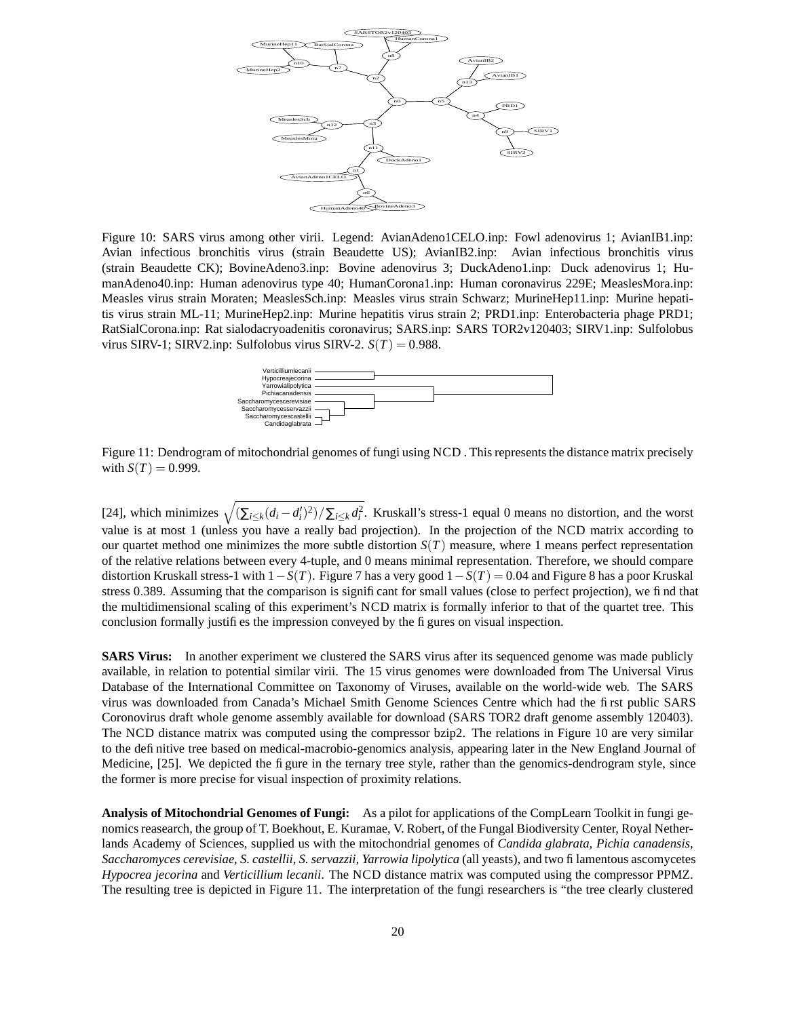

Figure 10: SARS virus among other virii. Legend: AvianAdeno1CELO.inp: Fowl adenovirus 1; AvianIB1.inp: Avian infectious bronchitis virus (strain Beaudette US); AvianIB2.inp: Avian infectious bronchitis virus (strain Beaudette CK); BovineAdeno3.inp: Bovine adenovirus 3; DuckAdeno1.inp: Duck adenovirus 1; HumanAdeno40.inp: Human adenovirus type 40; HumanCorona1.inp: Human coronavirus 229E; MeaslesMora.inp: Measles virus strain Moraten; MeaslesSch.inp: Measles virus strain Schwarz; MurineHep11.inp: Murine hepatitis virus strain ML-11; MurineHep2.inp: Murine hepatitis virus strain 2; PRD1.inp: Enterobacteria phage PRD1; RatSialCorona.inp: Rat sialodacryoadenitis coronavirus; SARS.inp: SARS TOR2v120403; SIRV1.inp: Sulfolobus virus SIRV-1; SIRV2.inp: Sulfolobus virus SIRV-2.  $S(T) = 0.988$ .



Figure 11: Dendrogram of mitochondrial genomes of fungi using NCD. This represents the distance matrix precisely with  $S(T) = 0.999$ .

[24], which minimizes  $\sqrt{\frac{\sum_{i \leq k} (d_i - d'_i)^2}{\sum_{i \leq k} d_i^2}}$ . Kruskall's stress-1 equal 0 means no distortion, and the worst value is at most 1 (unless you have a really bad projection). In the projection of the NCD matrix according to our quartet method one minimizes the more subtle distortion  $S(T)$  measure, where 1 means perfect representation of the relative relations between every 4-tuple, and 0 means minimal representation. Therefore, we should compare distortion Kruskall stress-1 with 1−*S*(*T*). Figure 7 has a very good 1−*S*(*T*) = 0.04 and Figure 8 has a poor Kruskal stress 0.389. Assuming that the comparison is significant for small values (close to perfect projection), we find that the multidimensional scaling of this experiment's NCD matrix is formally inferior to that of the quartet tree. This conclusion formally justifies the impression conveyed by the figures on visual inspection.

**SARS** Virus: In another experiment we clustered the SARS virus after its sequenced genome was made publicly available, in relation to potential similar virii. The 15 virus genomes were downloaded from The Universal Virus Database of the International Committee on Taxonomy of Viruses, available on the world-wide web. The SARS virus was downloaded from Canada's Michael Smith Genome Sciences Centre which had the first public SARS Coronovirus draft whole genome assembly available for download (SARS TOR2 draft genome assembly 120403). The NCD distance matrix was computed using the compressor bzip2. The relations in Figure 10 are very similar to the definitive tree based on medical-macrobio-genomics analysis, appearing later in the New England Journal of Medicine, [25]. We depicted the figure in the ternary tree style, rather than the genomics-dendrogram style, since the former is more precise for visual inspection of proximity relations.

**Analysis of Mitochondrial Genomes of Fungi:** As a pilot for applications of the CompLearn Toolkit in fungi genomics reasearch, the group of T. Boekhout, E. Kuramae, V. Robert, of the Fungal Biodiversity Center, Royal Netherlands Academy of Sciences, supplied us with the mitochondrial genomes of *Candida glabrata, Pichia canadensis, Saccharomyces cerevisiae, S. castellii, S. servazzii, Yarrowia lipolytica* (all yeasts), and two filamentous ascomycetes *Hypocrea jecorina* and *Verticillium lecanii*. The NCD distance matrix was computed using the compressor PPMZ. The resulting tree is depicted in Figure 11. The interpretation of the fungi researchers is "the tree clearly clustered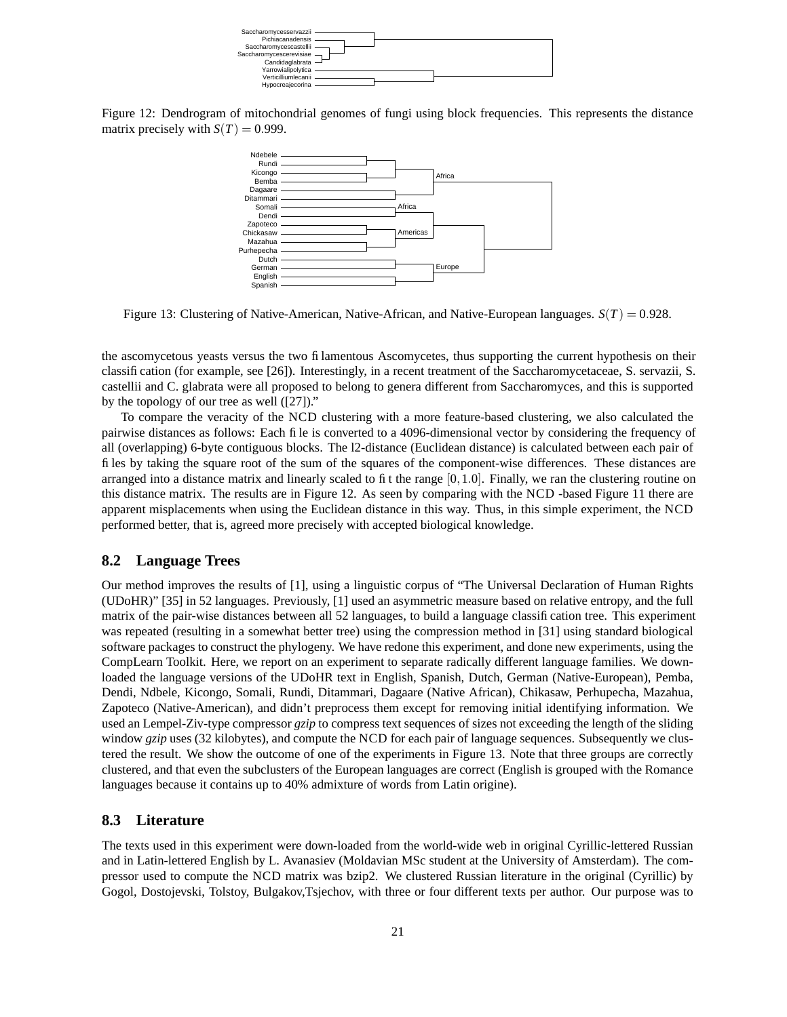| Saccharomycesservazzii<br><b>Pichiacanadensis</b> |  |
|---------------------------------------------------|--|
| Saccharomycescastellii                            |  |
|                                                   |  |
| Saccharomycescerevisiae                           |  |
| Candidaglabrata -                                 |  |
| Yarrowialipolytica                                |  |
| Verticilliumlecanii                               |  |
| Hypocreajecorina                                  |  |

Figure 12: Dendrogram of mitochondrial genomes of fungi using block frequencies. This represents the distance matrix precisely with  $S(T) = 0.999$ .



Figure 13: Clustering of Native-American, Native-African, and Native-European languages.  $S(T) = 0.928$ .

the ascomycetous yeasts versus the two filamentous Ascomycetes, thus supporting the current hypothesis on their classification (for example, see [26]). Interestingly, in a recent treatment of the Saccharomycetaceae, S. servazii, S. castellii and C. glabrata were all proposed to belong to genera different from Saccharomyces, and this is supported by the topology of our tree as well ([27])."

To compare the veracity of the NCD clustering with a more feature-based clustering, we also calculated the pairwise distances as follows: Each file is converted to a 4096-dimensional vector by considering the frequency of all (overlapping) 6-byte contiguous blocks. The l2-distance (Euclidean distance) is calculated between each pair of files by taking the square root of the sum of the squares of the component-wise differences. These distances are arranged into a distance matrix and linearly scaled to fit the range  $[0,1.0]$ . Finally, we ran the clustering routine on this distance matrix. The results are in Figure 12. As seen by comparing with the NCD -based Figure 11 there are apparent misplacements when using the Euclidean distance in this way. Thus, in this simple experiment, the NCD performed better, that is, agreed more precisely with accepted biological knowledge.

### **8.2 Language Trees**

Our method improves the results of [1], using a linguistic corpus of "The Universal Declaration of Human Rights (UDoHR)" [35] in 52 languages. Previously, [1] used an asymmetric measure based on relative entropy, and the full matrix of the pair-wise distances between all 52 languages, to build a language classification tree. This experiment was repeated (resulting in a somewhat better tree) using the compression method in [31] using standard biological software packages to construct the phylogeny. We have redone this experiment, and done new experiments, using the CompLearn Toolkit. Here, we report on an experiment to separate radically different language families. We downloaded the language versions of the UDoHR text in English, Spanish, Dutch, German (Native-European), Pemba, Dendi, Ndbele, Kicongo, Somali, Rundi, Ditammari, Dagaare (Native African), Chikasaw, Perhupecha, Mazahua, Zapoteco (Native-American), and didn't preprocess them except for removing initial identifying information. We used an Lempel-Ziv-type compressor *gzip* to compress text sequences of sizes not exceeding the length of the sliding window *gzip* uses (32 kilobytes), and compute the NCD for each pair of language sequences. Subsequently we clustered the result. We show the outcome of one of the experiments in Figure 13. Note that three groups are correctly clustered, and that even the subclusters of the European languages are correct (English is grouped with the Romance languages because it contains up to 40% admixture of words from Latin origine).

### **8.3 Literature**

The texts used in this experiment were down-loaded from the world-wide web in original Cyrillic-lettered Russian and in Latin-lettered English by L. Avanasiev (Moldavian MSc student at the University of Amsterdam). The compressor used to compute the NCD matrix was bzip2. We clustered Russian literature in the original (Cyrillic) by Gogol, Dostojevski, Tolstoy, Bulgakov,Tsjechov, with three or four different texts per author. Our purpose was to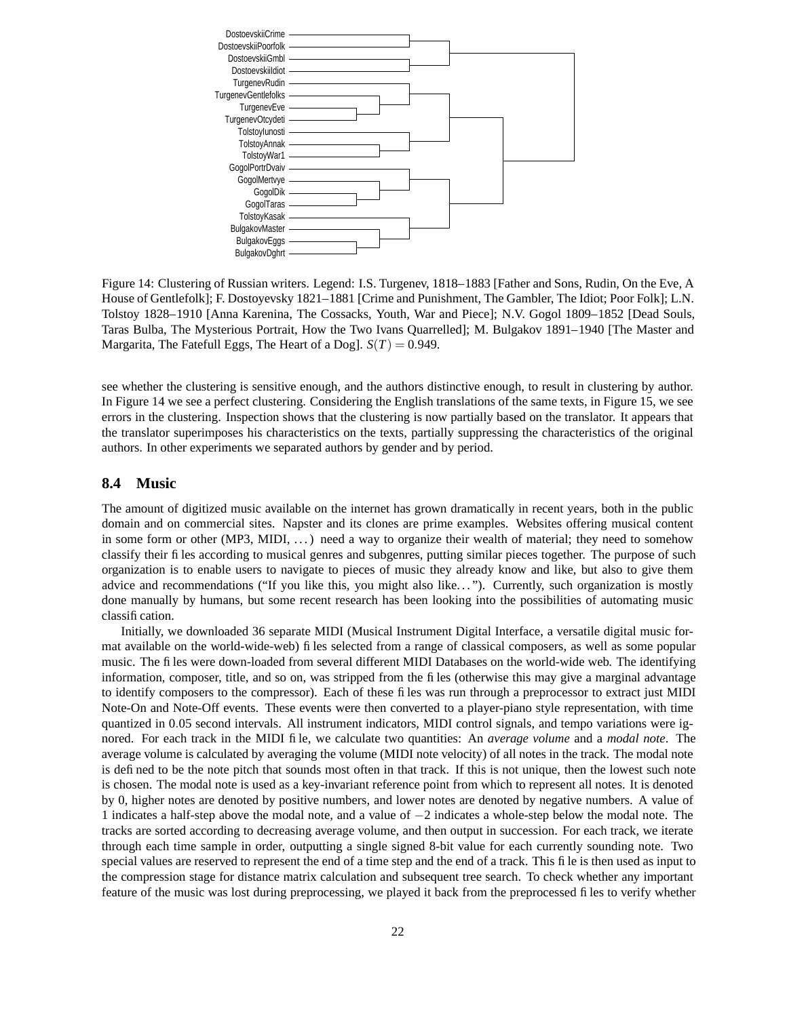

Figure 14: Clustering of Russian writers. Legend: I.S. Turgenev, 1818–1883 [Father and Sons, Rudin, On the Eve, A House of Gentlefolk]; F. Dostoyevsky 1821–1881 [Crime and Punishment, The Gambler, The Idiot; Poor Folk]; L.N. Tolstoy 1828–1910 [Anna Karenina, The Cossacks, Youth, War and Piece]; N.V. Gogol 1809–1852 [Dead Souls, Taras Bulba, The Mysterious Portrait, How the Two Ivans Quarrelled]; M. Bulgakov 1891–1940 [The Master and Margarita, The Fatefull Eggs, The Heart of a Dog].  $S(T) = 0.949$ .

see whether the clustering is sensitive enough, and the authors distinctive enough, to result in clustering by author. In Figure 14 we see a perfect clustering. Considering the English translations of the same texts, in Figure 15, we see errors in the clustering. Inspection shows that the clustering is now partially based on the translator. It appears that the translator superimposes his characteristics on the texts, partially suppressing the characteristics of the original authors. In other experiments we separated authors by gender and by period.

#### **8.4 Music**

The amount of digitized music available on the internet has grown dramatically in recent years, both in the public domain and on commercial sites. Napster and its clones are prime examples. Websites offering musical content in some form or other (MP3, MIDI, ...) need a way to organize their wealth of material; they need to somehow classify their files according to musical genres and subgenres, putting similar pieces together. The purpose of such organization is to enable users to navigate to pieces of music they already know and like, but also to give them advice and recommendations ("If you like this, you might also like..."). Currently, such organization is mostly done manually by humans, but some recent research has been looking into the possibilities of automating music classification.

Initially, we downloaded 36 separate MIDI (Musical Instrument Digital Interface, a versatile digital music format available on the world-wide-web) files selected from a range of classical composers, as well as some popular music. The files were down-loaded from several different MIDI Databases on the world-wide web. The identifying information, composer, title, and so on, was stripped from the files (otherwise this may give a marginal advantage to identify composers to the compressor). Each of these files was run through a preprocessor to extract just MIDI Note-On and Note-Off events. These events were then converted to a player-piano style representation, with time quantized in 0.05 second intervals. All instrument indicators, MIDI control signals, and tempo variations were ignored. For each track in the MIDI file, we calculate two quantities: An *average volume* and a *modal note*. The average volume is calculated by averaging the volume (MIDI note velocity) of all notes in the track. The modal note is defined to be the note pitch that sounds most often in that track. If this is not unique, then the lowest such note is chosen. The modal note is used as a key-invariant reference point from which to represent all notes. It is denoted by 0, higher notes are denoted by positive numbers, and lower notes are denoted by negative numbers. A value of 1 indicates a half-step above the modal note, and a value of −2 indicates a whole-step below the modal note. The tracks are sorted according to decreasing average volume, and then output in succession. For each track, we iterate through each time sample in order, outputting a single signed 8-bit value for each currently sounding note. Two special values are reserved to represent the end of a time step and the end of a track. This file is then used as input to the compression stage for distance matrix calculation and subsequent tree search. To check whether any important feature of the music was lost during preprocessing, we played it back from the preprocessed files to verify whether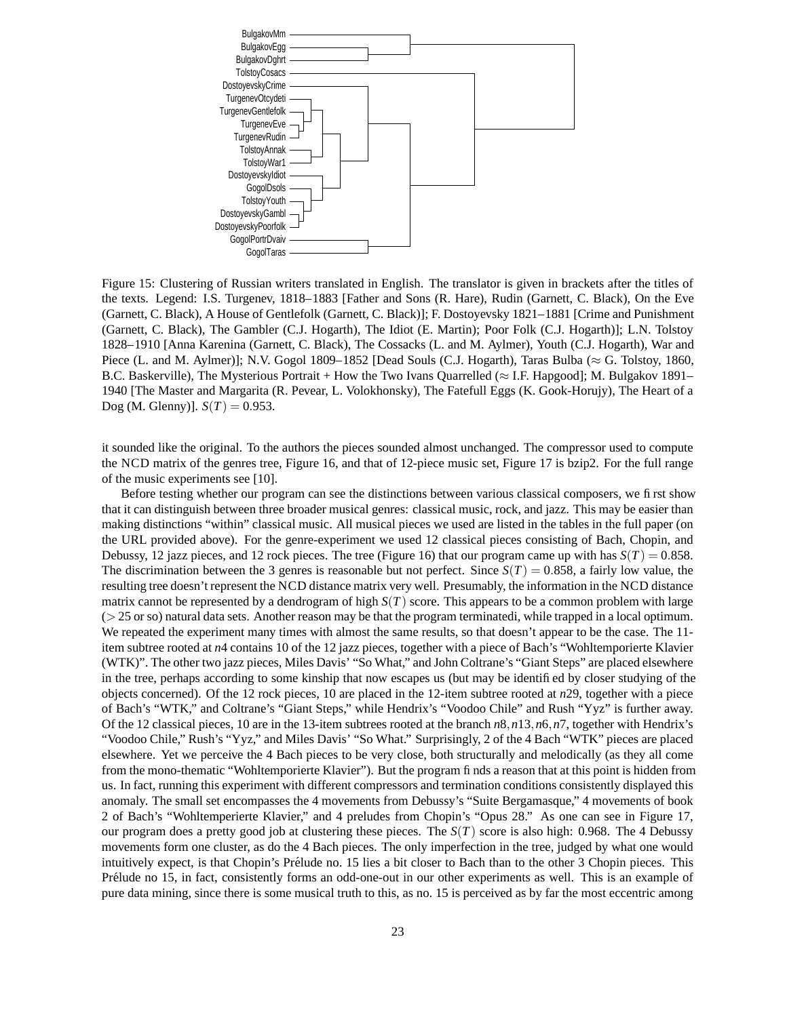

Figure 15: Clustering of Russian writers translated in English. The translator is given in brackets after the titles of the texts. Legend: I.S. Turgenev, 1818–1883 [Father and Sons (R. Hare), Rudin (Garnett, C. Black), On the Eve (Garnett, C. Black), A House of Gentlefolk (Garnett, C. Black)]; F. Dostoyevsky 1821–1881 [Crime and Punishment (Garnett, C. Black), The Gambler (C.J. Hogarth), The Idiot (E. Martin); Poor Folk (C.J. Hogarth)]; L.N. Tolstoy 1828–1910 [Anna Karenina (Garnett, C. Black), The Cossacks (L. and M. Aylmer), Youth (C.J. Hogarth), War and Piece (L. and M. Aylmer)]; N.V. Gogol 1809–1852 [Dead Souls (C.J. Hogarth), Taras Bulba (≈ G. Tolstoy, 1860, B.C. Baskerville), The Mysterious Portrait + How the Two Ivans Quarrelled ( $\approx$  I.F. Hapgood]; M. Bulgakov 1891– 1940 [The Master and Margarita (R. Pevear, L. Volokhonsky), The Fatefull Eggs (K. Gook-Horujy), The Heart of a Dog (M. Glenny)].  $S(T) = 0.953$ .

it sounded like the original. To the authors the pieces sounded almost unchanged. The compressor used to compute the NCD matrix of the genres tree, Figure 16, and that of 12-piece music set, Figure 17 is bzip2. For the full range of the music experiments see [10].

Before testing whether our program can see the distinctions between various classical composers, we first show that it can distinguish between three broader musical genres: classical music, rock, and jazz. This may be easier than making distinctions "within" classical music. All musical pieces we used are listed in the tables in the full paper (on the URL provided above). For the genre-experiment we used 12 classical pieces consisting of Bach, Chopin, and Debussy, 12 jazz pieces, and 12 rock pieces. The tree (Figure 16) that our program came up with has  $S(T) = 0.858$ . The discrimination between the 3 genres is reasonable but not perfect. Since  $S(T) = 0.858$ , a fairly low value, the resulting tree doesn't represent the NCD distance matrix very well. Presumably, the information in the NCD distance matrix cannot be represented by a dendrogram of high *S*(*T*) score. This appears to be a common problem with large  $(> 25 \text{ or so})$  natural data sets. Another reason may be that the program terminatedi, while trapped in a local optimum. We repeated the experiment many times with almost the same results, so that doesn't appear to be the case. The 11 item subtree rooted at *n*4 contains 10 of the 12 jazz pieces, together with a piece of Bach's "Wohltemporierte Klavier (WTK)". The other two jazz pieces, Miles Davis' "So What," and John Coltrane's "Giant Steps" are placed elsewhere in the tree, perhaps according to some kinship that now escapes us (but may be identified by closer studying of the objects concerned). Of the 12 rock pieces, 10 are placed in the 12-item subtree rooted at *n*29, together with a piece of Bach's "WTK," and Coltrane's "Giant Steps," while Hendrix's "Voodoo Chile" and Rush "Yyz" is further away. Of the 12 classical pieces, 10 are in the 13-item subtrees rooted at the branch *n*8,*n*13,*n*6,*n*7, together with Hendrix's "Voodoo Chile," Rush's "Yyz," and Miles Davis' "So What." Surprisingly, 2 of the 4 Bach "WTK" pieces are placed elsewhere. Yet we perceive the 4 Bach pieces to be very close, both structurally and melodically (as they all come from the mono-thematic "Wohltemporierte Klavier"). But the program finds a reason that at this point is hidden from us. In fact, running this experiment with different compressors and termination conditions consistently displayed this anomaly. The small set encompasses the 4 movements from Debussy's "Suite Bergamasque," 4 movements of book 2 of Bach's "Wohltemperierte Klavier," and 4 preludes from Chopin's "Opus 28." As one can see in Figure 17, our program does a pretty good job at clustering these pieces. The *S*(*T*) score is also high: 0.968. The 4 Debussy movements form one cluster, as do the 4 Bach pieces. The only imperfection in the tree, judged by what one would intuitively expect, is that Chopin's Prélude no. 15 lies a bit closer to Bach than to the other 3 Chopin pieces. This Prélude no 15, in fact, consistently forms an odd-one-out in our other experiments as well. This is an example of pure data mining, since there is some musical truth to this, as no. 15 is perceived as by far the most eccentric among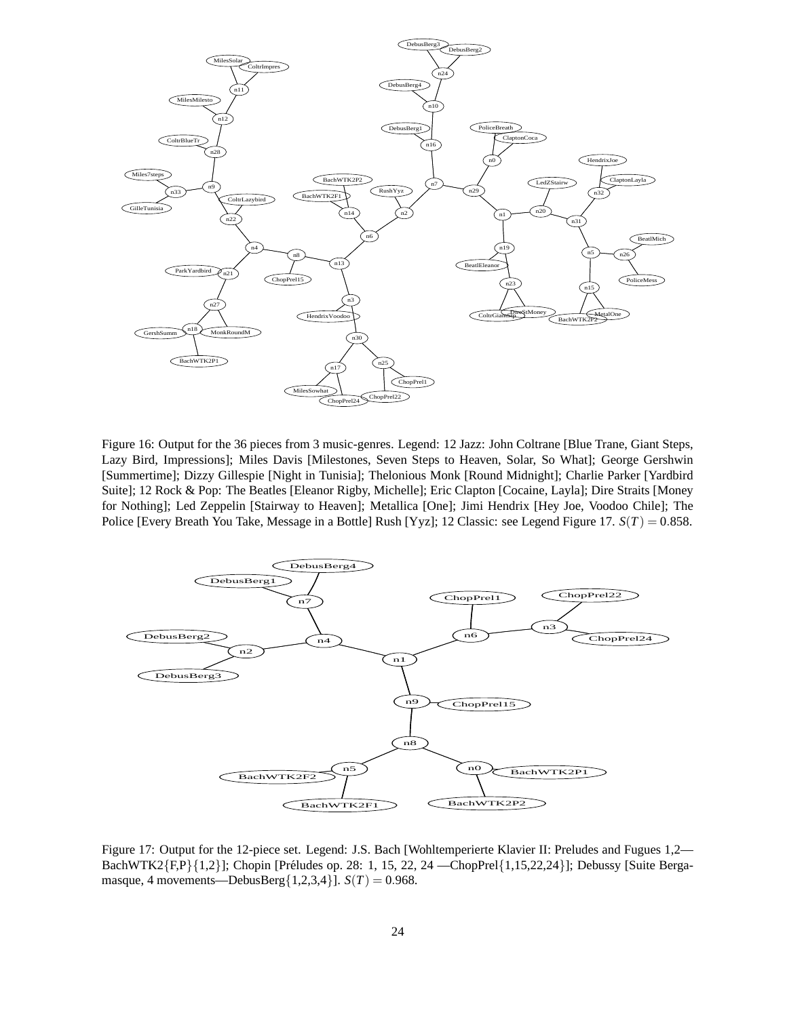

Figure 16: Output for the 36 pieces from 3 music-genres. Legend: 12 Jazz: John Coltrane [Blue Trane, Giant Steps, Lazy Bird, Impressions]; Miles Davis [Milestones, Seven Steps to Heaven, Solar, So What]; George Gershwin [Summertime]; Dizzy Gillespie [Night in Tunisia]; Thelonious Monk [Round Midnight]; Charlie Parker [Yardbird Suite]; 12 Rock & Pop: The Beatles [Eleanor Rigby, Michelle]; Eric Clapton [Cocaine, Layla]; Dire Straits [Money for Nothing]; Led Zeppelin [Stairway to Heaven]; Metallica [One]; Jimi Hendrix [Hey Joe, Voodoo Chile]; The Police [Every Breath You Take, Message in a Bottle] Rush [Yyz]; 12 Classic: see Legend Figure 17. *S*(*T*) = 0.858.



Figure 17: Output for the 12-piece set. Legend: J.S. Bach [Wohltemperierte Klavier II: Preludes and Fugues 1,2— BachWTK2 ${F, P}{1, 2}$ ; Chopin [Préludes op. 28: 1, 15, 22, 24 —ChopPrel ${1, 15, 22, 24}$ ]; Debussy [Suite Bergamasque, 4 movements—DebusBerg{1,2,3,4}]. *S*(*T*) = 0.968.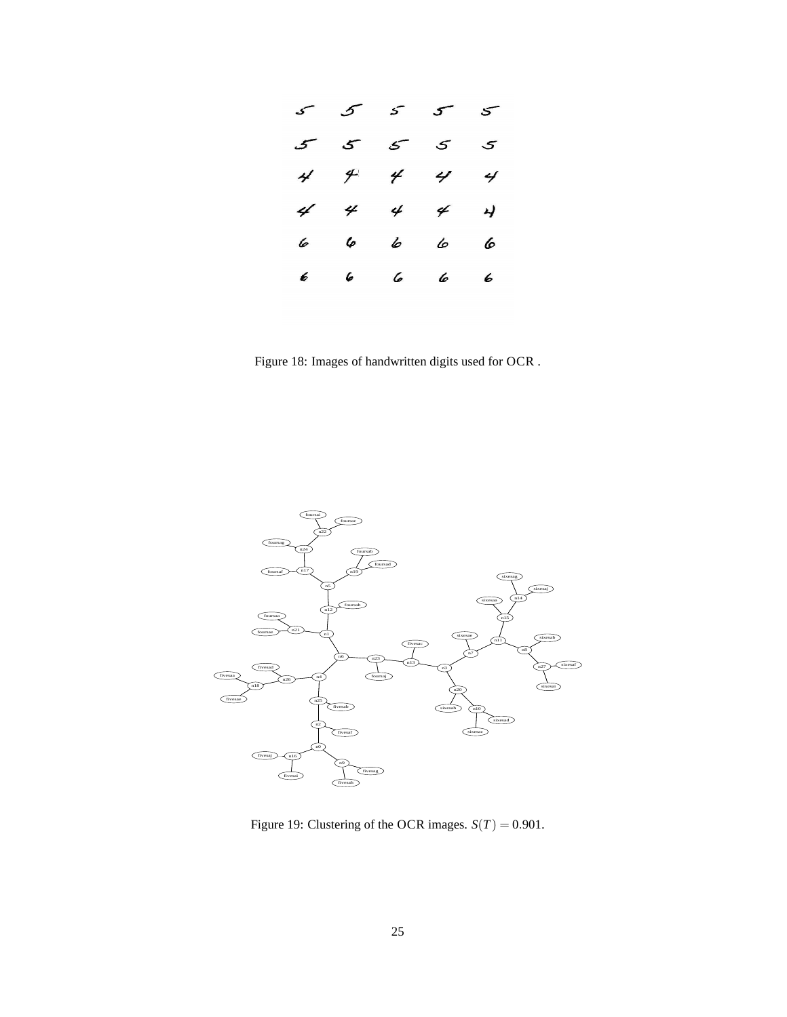

Figure 18: Images of handwritten digits used for OCR .



Figure 19: Clustering of the OCR images.  $S(T) = 0.901$ .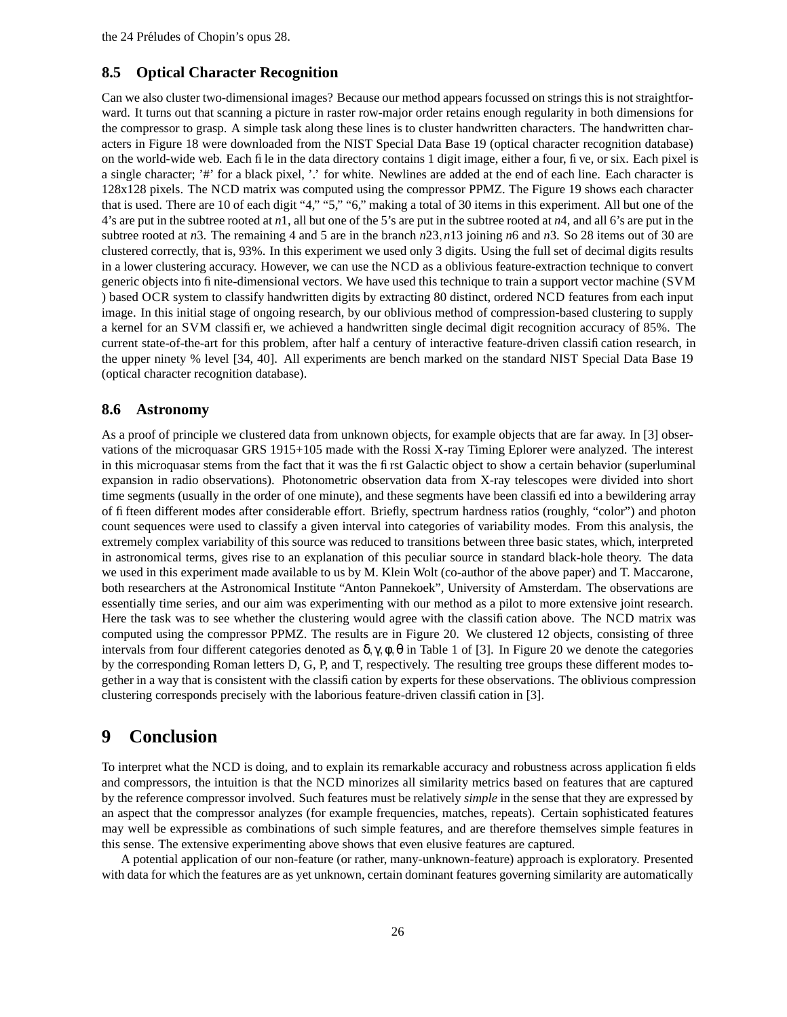#### **8.5 Optical Character Recognition**

Can we also cluster two-dimensional images? Because our method appears focussed on strings this is not straightforward. It turns out that scanning a picture in raster row-major order retains enough regularity in both dimensions for the compressor to grasp. A simple task along these lines is to cluster handwritten characters. The handwritten characters in Figure 18 were downloaded from the NIST Special Data Base 19 (optical character recognition database) on the world-wide web. Each file in the data directory contains 1 digit image, either a four, five, or six. Each pixel is a single character; '#' for a black pixel, '.' for white. Newlines are added at the end of each line. Each character is 128x128 pixels. The NCD matrix was computed using the compressor PPMZ. The Figure 19 shows each character that is used. There are 10 of each digit "4," "5," "6," making a total of 30 items in this experiment. All but one of the 4's are put in the subtree rooted at *n*1, all but one of the 5's are put in the subtree rooted at *n*4, and all 6's are put in the subtree rooted at *n*3. The remaining 4 and 5 are in the branch *n*23,*n*13 joining *n*6 and *n*3. So 28 items out of 30 are clustered correctly, that is, 93%. In this experiment we used only 3 digits. Using the full set of decimal digits results in a lower clustering accuracy. However, we can use the NCD as a oblivious feature-extraction technique to convert generic objects into finite-dimensional vectors. We have used this technique to train a support vector machine (SVM ) based OCR system to classify handwritten digits by extracting 80 distinct, ordered NCD features from each input image. In this initial stage of ongoing research, by our oblivious method of compression-based clustering to supply a kernel for an SVM classifier, we achieved a handwritten single decimal digit recognition accuracy of 85%. The current state-of-the-art for this problem, after half a century of interactive feature-driven classification research, in the upper ninety % level [34, 40]. All experiments are bench marked on the standard NIST Special Data Base 19 (optical character recognition database).

#### **8.6 Astronomy**

As a proof of principle we clustered data from unknown objects, for example objects that are far away. In [3] observations of the microquasar GRS 1915+105 made with the Rossi X-ray Timing Eplorer were analyzed. The interest in this microquasar stems from the fact that it was the first Galactic object to show a certain behavior (superluminal expansion in radio observations). Photonometric observation data from X-ray telescopes were divided into short time segments (usually in the order of one minute), and these segments have been classified into a bewildering array of fifteen different modes after considerable effort. Briefly, spectrum hardness ratios (roughly, "color") and photon count sequences were used to classify a given interval into categories of variability modes. From this analysis, the extremely complex variability of this source was reduced to transitions between three basic states, which, interpreted in astronomical terms, gives rise to an explanation of this peculiar source in standard black-hole theory. The data we used in this experiment made available to us by M. Klein Wolt (co-author of the above paper) and T. Maccarone, both researchers at the Astronomical Institute "Anton Pannekoek", University of Amsterdam. The observations are essentially time series, and our aim was experimenting with our method as a pilot to more extensive joint research. Here the task was to see whether the clustering would agree with the classification above. The NCD matrix was computed using the compressor PPMZ. The results are in Figure 20. We clustered 12 objects, consisting of three intervals from four different categories denoted as  $\delta, \gamma, \phi, \theta$  in Table 1 of [3]. In Figure 20 we denote the categories by the corresponding Roman letters D, G, P, and T, respectively. The resulting tree groups these different modes together in a way that is consistent with the classification by experts for these observations. The oblivious compression clustering corresponds precisely with the laborious feature-driven classification in [3].

### **9 Conclusion**

To interpret what the NCD is doing, and to explain its remarkable accuracy and robustness across application fields and compressors, the intuition is that the NCD minorizes all similarity metrics based on features that are captured by the reference compressor involved. Such features must be relatively *simple* in the sense that they are expressed by an aspect that the compressor analyzes (for example frequencies, matches, repeats). Certain sophisticated features may well be expressible as combinations of such simple features, and are therefore themselves simple features in this sense. The extensive experimenting above shows that even elusive features are captured.

A potential application of our non-feature (or rather, many-unknown-feature) approach is exploratory. Presented with data for which the features are as yet unknown, certain dominant features governing similarity are automatically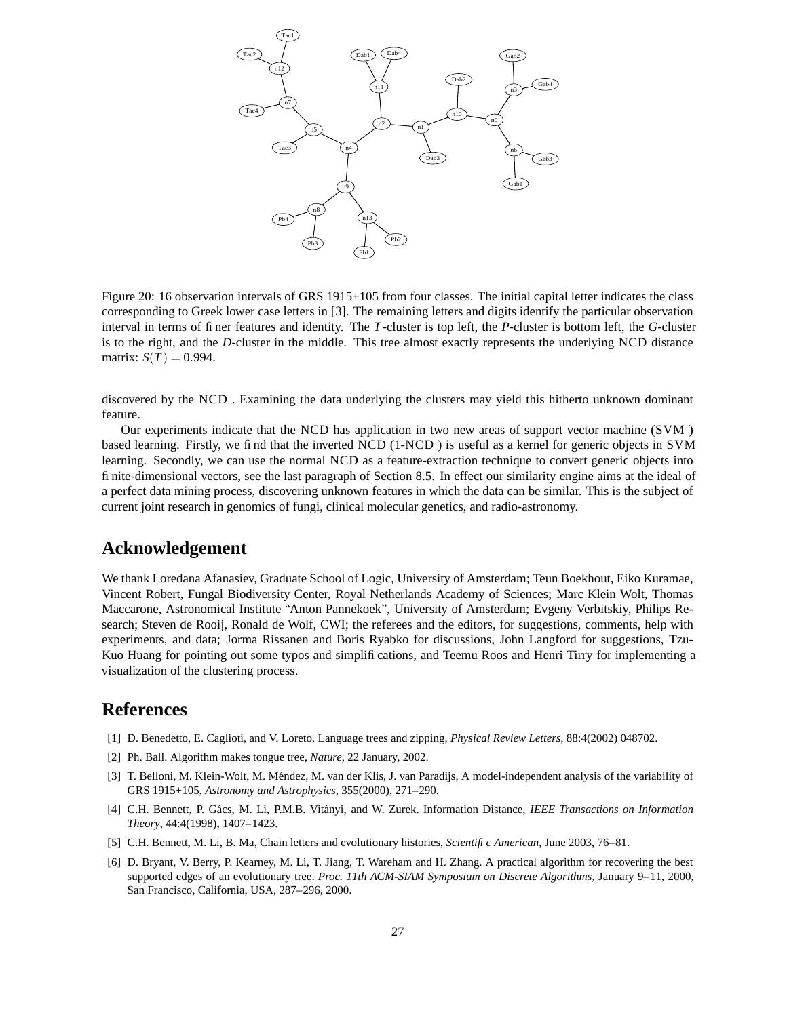

Figure 20: 16 observation intervals of GRS 1915+105 from four classes. The initial capital letter indicates the class corresponding to Greek lower case letters in [3]. The remaining letters and digits identify the particular observation interval in terms of finer features and identity. The *T*-cluster is top left, the *P*-cluster is bottom left, the *G*-cluster is to the right, and the *D*-cluster in the middle. This tree almost exactly represents the underlying NCD distance matrix:  $S(T) = 0.994$ .

discovered by the NCD . Examining the data underlying the clusters may yield this hitherto unknown dominant feature.

Our experiments indicate that the NCD has application in two new areas of support vector machine (SVM ) based learning. Firstly, we find that the inverted NCD (1-NCD ) is useful as a kernel for generic objects in SVM learning. Secondly, we can use the normal NCD as a feature-extraction technique to convert generic objects into finite-dimensional vectors, see the last paragraph of Section 8.5. In effect our similarity engine aims at the ideal of a perfect data mining process, discovering unknown features in which the data can be similar. This is the subject of current joint research in genomics of fungi, clinical molecular genetics, and radio-astronomy.

### **Acknowledgement**

We thank Loredana Afanasiev, Graduate School of Logic, University of Amsterdam; Teun Boekhout, Eiko Kuramae, Vincent Robert, Fungal Biodiversity Center, Royal Netherlands Academy of Sciences; Marc Klein Wolt, Thomas Maccarone, Astronomical Institute "Anton Pannekoek", University of Amsterdam; Evgeny Verbitskiy, Philips Research; Steven de Rooij, Ronald de Wolf, CWI; the referees and the editors, for suggestions, comments, help with experiments, and data; Jorma Rissanen and Boris Ryabko for discussions, John Langford for suggestions, Tzu-Kuo Huang for pointing out some typos and simplifications, and Teemu Roos and Henri Tirry for implementing a visualization of the clustering process.

### **References**

- [1] D. Benedetto, E. Caglioti, and V. Loreto. Language trees and zipping, *Physical Review Letters*, 88:4(2002) 048702.
- [2] Ph. Ball. Algorithm makes tongue tree, *Nature*, 22 January, 2002.
- [3] T. Belloni, M. Klein-Wolt, M. Méndez, M. van der Klis, J. van Paradijs, A model-independent analysis of the variability of GRS 1915+105, *Astronomy and Astrophysics*, 355(2000), 271–290.
- [4] C.H. Bennett, P. Gacs, ´ M. Li, P.M.B. Vitan´ yi, and W. Zurek. Information Distance, *IEEE Transactions on Information Theory*, 44:4(1998), 1407–1423.
- [5] C.H. Bennett, M. Li, B. Ma, Chain letters and evolutionary histories, *Scientific American*, June 2003, 76–81.
- [6] D. Bryant, V. Berry, P. Kearney, M. Li, T. Jiang, T. Wareham and H. Zhang. A practical algorithm for recovering the best supported edges of an evolutionary tree. *Proc. 11th ACM-SIAM Symposium on Discrete Algorithms*, January 9–11, 2000, San Francisco, California, USA, 287–296, 2000.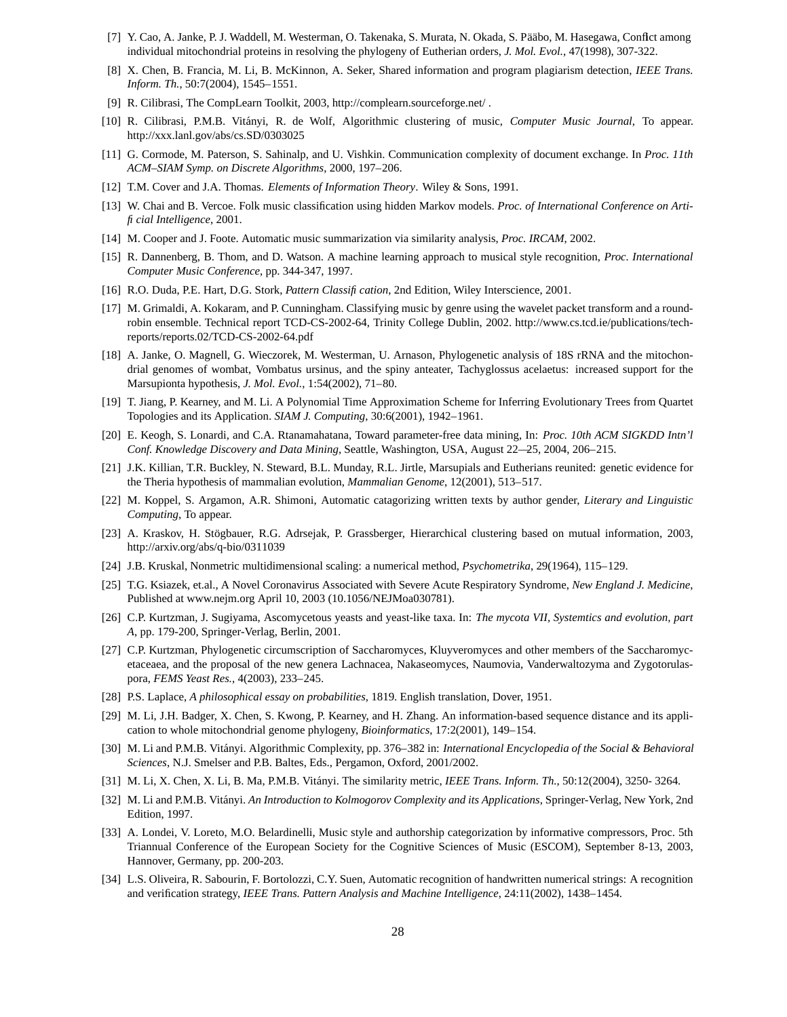- [7] Y. Cao, A. Janke, P. J. Waddell, M. Westerman, O. Takenaka, S. Murata, N. Okada, S. Pääbo, M. Hasegawa, Conflct among individual mitochondrial proteins in resolving the phylogeny of Eutherian orders, *J. Mol. Evol.*, 47(1998), 307-322.
- [8] X. Chen, B. Francia, M. Li, B. McKinnon, A. Seker, Shared information and program plagiarism detection, *IEEE Trans. Inform. Th.*, 50:7(2004), 1545–1551.
- [9] R. Cilibrasi, The CompLearn Toolkit, 2003, http://complearn.sourceforge.net/ .
- [10] R. Cilibrasi, P.M.B. Vitányi, R. de Wolf, Algorithmic clustering of music, *Computer Music Journal*, To appear. http://xxx.lanl.gov/abs/cs.SD/0303025
- [11] G. Cormode, M. Paterson, S. Sahinalp, and U. Vishkin. Communication complexity of document exchange. In *Proc. 11th ACM–SIAM Symp. on Discrete Algorithms*, 2000, 197–206.
- [12] T.M. Cover and J.A. Thomas. *Elements of Information Theory*. Wiley & Sons, 1991.
- [13] W. Chai and B. Vercoe. Folk music classification using hidden Markov models. *Proc. of International Conference on Artificial Intelligence*, 2001.
- [14] M. Cooper and J. Foote. Automatic music summarization via similarity analysis, *Proc. IRCAM*, 2002.
- [15] R. Dannenberg, B. Thom, and D. Watson. A machine learning approach to musical style recognition, *Proc. International Computer Music Conference*, pp. 344-347, 1997.
- [16] R.O. Duda, P.E. Hart, D.G. Stork, *Pattern Classification*, 2nd Edition, Wiley Interscience, 2001.
- [17] M. Grimaldi, A. Kokaram, and P. Cunningham. Classifying music by genre using the wavelet packet transform and a roundrobin ensemble. Technical report TCD-CS-2002-64, Trinity College Dublin, 2002. http://www.cs.tcd.ie/publications/techreports/reports.02/TCD-CS-2002-64.pdf
- [18] A. Janke, O. Magnell, G. Wieczorek, M. Westerman, U. Arnason, Phylogenetic analysis of 18S rRNA and the mitochondrial genomes of wombat, Vombatus ursinus, and the spiny anteater, Tachyglossus acelaetus: increased support for the Marsupionta hypothesis, *J. Mol. Evol.*, 1:54(2002), 71–80.
- [19] T. Jiang, P. Kearney, and M. Li. A Polynomial Time Approximation Scheme for Inferring Evolutionary Trees from Quartet Topologies and its Application. *SIAM J. Computing*, 30:6(2001), 1942–1961.
- [20] E. Keogh, S. Lonardi, and C.A. Rtanamahatana, Toward parameter-free data mining, In: *Proc. 10th ACM SIGKDD Intn'l Conf. Knowledge Discovery and Data Mining*, Seattle, Washington, USA, August 22—25, 2004, 206–215.
- [21] J.K. Killian, T.R. Buckley, N. Steward, B.L. Munday, R.L. Jirtle, Marsupials and Eutherians reunited: genetic evidence for the Theria hypothesis of mammalian evolution, *Mammalian Genome*, 12(2001), 513–517.
- [22] M. Koppel, S. Argamon, A.R. Shimoni, Automatic catagorizing written texts by author gender, *Literary and Linguistic Computing*, To appear.
- [23] A. Kraskov, H. Stögbauer, R.G. Adrsejak, P. Grassberger, Hierarchical clustering based on mutual information, 2003, http://arxiv.org/abs/q-bio/0311039
- [24] J.B. Kruskal, Nonmetric multidimensional scaling: a numerical method, *Psychometrika*, 29(1964), 115–129.
- [25] T.G. Ksiazek, et.al., A Novel Coronavirus Associated with Severe Acute Respiratory Syndrome, *New England J. Medicine*, Published at www.nejm.org April 10, 2003 (10.1056/NEJMoa030781).
- [26] C.P. Kurtzman, J. Sugiyama, Ascomycetous yeasts and yeast-like taxa. In: *The mycota VII, Systemtics and evolution, part A*, pp. 179-200, Springer-Verlag, Berlin, 2001.
- [27] C.P. Kurtzman, Phylogenetic circumscription of Saccharomyces, Kluyveromyces and other members of the Saccharomycetaceaea, and the proposal of the new genera Lachnacea, Nakaseomyces, Naumovia, Vanderwaltozyma and Zygotorulaspora, *FEMS Yeast Res.*, 4(2003), 233–245.
- [28] P.S. Laplace, *A philosophical essay on probabilities*, 1819. English translation, Dover, 1951.
- [29] M. Li, J.H. Badger, X. Chen, S. Kwong, P. Kearney, and H. Zhang. An information-based sequence distance and its application to whole mitochondrial genome phylogeny, *Bioinformatics*, 17:2(2001), 149–154.
- [30] M. Li and P.M.B. Vitan´ yi. Algorithmic Complexity, pp. 376–382 in: *International Encyclopedia of the Social & Behavioral Sciences*, N.J. Smelser and P.B. Baltes, Eds., Pergamon, Oxford, 2001/2002.
- [31] M. Li, X. Chen, X. Li, B. Ma, P.M.B. Vitányi. The similarity metric, *IEEE Trans. Inform. Th.*, 50:12(2004), 3250-3264.
- [32] M. Li and P.M.B. Vitányi. *An Introduction to Kolmogorov Complexity and its Applications*, Springer-Verlag, New York, 2nd Edition, 1997.
- [33] A. Londei, V. Loreto, M.O. Belardinelli, Music style and authorship categorization by informative compressors, Proc. 5th Triannual Conference of the European Society for the Cognitive Sciences of Music (ESCOM), September 8-13, 2003, Hannover, Germany, pp. 200-203.
- [34] L.S. Oliveira, R. Sabourin, F. Bortolozzi, C.Y. Suen, Automatic recognition of handwritten numerical strings: A recognition and verification strategy, *IEEE Trans. Pattern Analysis and Machine Intelligence*, 24:11(2002), 1438–1454.